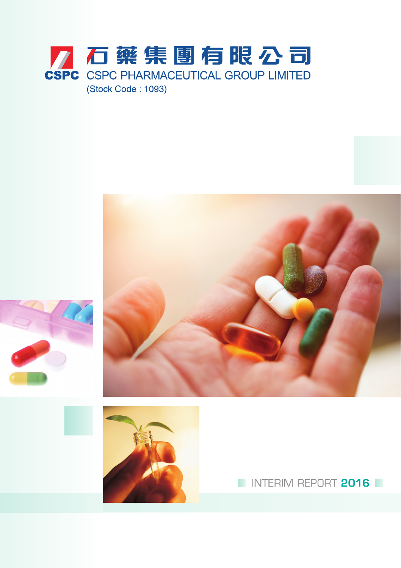





INTERIM REPORT 2016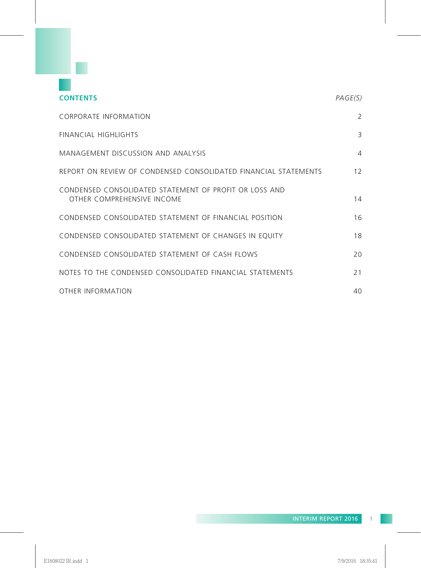

| <b>CONTENTS</b>                                                                      | PAGE(S) |
|--------------------------------------------------------------------------------------|---------|
| CORPORATE INFORMATION                                                                | 2       |
| FINANCIAL HIGHLIGHTS                                                                 | 3       |
| MANAGEMENT DISCUSSION AND ANALYSIS                                                   | 4       |
| REPORT ON REVIEW OF CONDENSED CONSOLIDATED FINANCIAL STATEMENTS                      | 12      |
| CONDENSED CONSOLIDATED STATEMENT OF PROFIT OR LOSS AND<br>OTHER COMPREHENSIVE INCOME | 14      |
| CONDENSED CONSOLIDATED STATEMENT OF FINANCIAL POSITION                               | 16      |
| CONDENSED CONSOLIDATED STATEMENT OF CHANGES IN EQUITY                                | 18      |
| CONDENSED CONSOLIDATED STATEMENT OF CASH FLOWS                                       | 20      |
| NOTES TO THE CONDENSED CONSOLIDATED FINANCIAL STATEMENTS                             | 21      |
| OTHER INFORMATION                                                                    | 40      |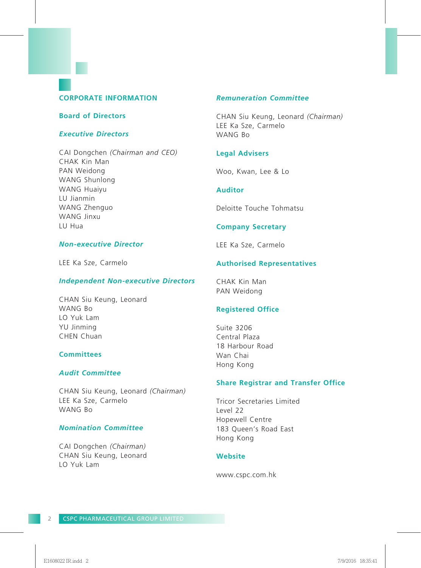# **CORPORATE INFORMATION**

## **Board of Directors**

## *Executive Directors*

CAI Dongchen *(Chairman and CEO)* CHAK Kin Man PAN Weidong WANG Shunlong WANG Huaiyu LU Jianmin WANG Zhenguo WANG Jinxu LU Hua

# *Non-executive Director*

LEE Ka Sze, Carmelo

#### *Independent Non-executive Directors*

CHAN Siu Keung, Leonard WANG Bo LO Yuk Lam YU Jinming CHEN Chuan

# **Committees**

# *Audit Committee*

CHAN Siu Keung, Leonard *(Chairman)* LEE Ka Sze, Carmelo WANG Bo

# *Nomination Committee*

CAI Dongchen *(Chairman)* CHAN Siu Keung, Leonard LO Yuk Lam

# *Remuneration Committee*

CHAN Siu Keung, Leonard *(Chairman)* LEE Ka Sze, Carmelo WANG Bo

## **Legal Advisers**

Woo, Kwan, Lee & Lo

#### **Auditor**

Deloitte Touche Tohmatsu

# **Company Secretary**

LEE Ka Sze, Carmelo

## **Authorised Representatives**

CHAK Kin Man PAN Weidong

# **Registered Office**

Suite 3206 Central Plaza 18 Harbour Road Wan Chai Hong Kong

# **Share Registrar and Transfer Office**

Tricor Secretaries Limited Level 22 Hopewell Centre 183 Queen's Road East Hong Kong

#### **Website**

www.cspc.com.hk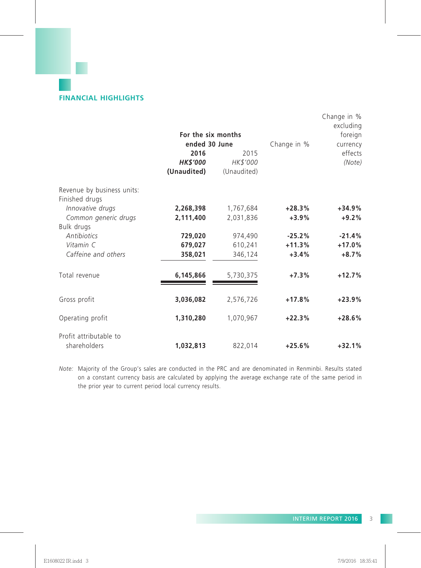# **FINANCIAL HIGHLIGHTS**

|                                        |                    |             |             | Change in %<br>excluding |
|----------------------------------------|--------------------|-------------|-------------|--------------------------|
|                                        | For the six months |             |             | foreign                  |
|                                        | ended 30 June      |             | Change in % | currency                 |
|                                        | 2016               | 2015        |             | effects                  |
|                                        | <b>HK\$'000</b>    | HK\$'000    |             | (Note)                   |
|                                        | (Unaudited)        | (Unaudited) |             |                          |
| Revenue by business units:             |                    |             |             |                          |
| Finished drugs                         |                    |             |             |                          |
| Innovative drugs                       | 2,268,398          | 1,767,684   | $+28.3%$    | $+34.9%$                 |
| Common generic drugs                   | 2,111,400          | 2,031,836   | $+3.9%$     | $+9.2%$                  |
| Bulk drugs                             |                    |             |             |                          |
| <b>Antibiotics</b>                     | 729,020            | 974,490     | $-25.2%$    | $-21.4%$                 |
| Vitamin C                              | 679,027            | 610,241     | $+11.3%$    | $+17.0%$                 |
| Caffeine and others                    | 358,021            | 346,124     | $+3.4%$     | $+8.7%$                  |
| Total revenue                          | 6,145,866          | 5,730,375   | $+7.3%$     | $+12.7%$                 |
|                                        |                    |             |             |                          |
| Gross profit                           | 3,036,082          | 2,576,726   | $+17.8%$    | $+23.9%$                 |
| Operating profit                       | 1,310,280          | 1,070,967   | $+22.3%$    | $+28.6%$                 |
| Profit attributable to<br>shareholders | 1,032,813          | 822,014     | $+25.6%$    | $+32.1%$                 |

*Note:* Majority of the Group's sales are conducted in the PRC and are denominated in Renminbi. Results stated on a constant currency basis are calculated by applying the average exchange rate of the same period in the prior year to current period local currency results.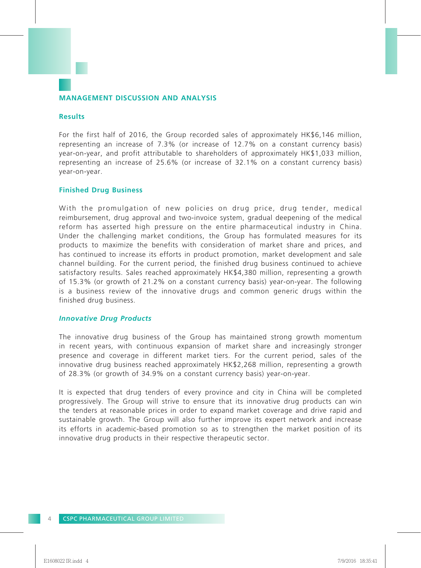# **MANAGEMENT DISCUSSION AND ANALYSIS**

## **Results**

For the first half of 2016, the Group recorded sales of approximately HK\$6,146 million, representing an increase of 7.3% (or increase of 12.7% on a constant currency basis) year-on-year, and profit attributable to shareholders of approximately HK\$1,033 million, representing an increase of 25.6% (or increase of 32.1% on a constant currency basis) year-on-year.

## **Finished Drug Business**

With the promulgation of new policies on drug price, drug tender, medical reimbursement, drug approval and two-invoice system, gradual deepening of the medical reform has asserted high pressure on the entire pharmaceutical industry in China. Under the challenging market conditions, the Group has formulated measures for its products to maximize the benefits with consideration of market share and prices, and has continued to increase its efforts in product promotion, market development and sale channel building. For the current period, the finished drug business continued to achieve satisfactory results. Sales reached approximately HK\$4,380 million, representing a growth of 15.3% (or growth of 21.2% on a constant currency basis) year-on-year. The following is a business review of the innovative drugs and common generic drugs within the finished drug business.

#### *Innovative Drug Products*

The innovative drug business of the Group has maintained strong growth momentum in recent years, with continuous expansion of market share and increasingly stronger presence and coverage in different market tiers. For the current period, sales of the innovative drug business reached approximately HK\$2,268 million, representing a growth of 28.3% (or growth of 34.9% on a constant currency basis) year-on-year.

It is expected that drug tenders of every province and city in China will be completed progressively. The Group will strive to ensure that its innovative drug products can win the tenders at reasonable prices in order to expand market coverage and drive rapid and sustainable growth. The Group will also further improve its expert network and increase its efforts in academic-based promotion so as to strengthen the market position of its innovative drug products in their respective therapeutic sector.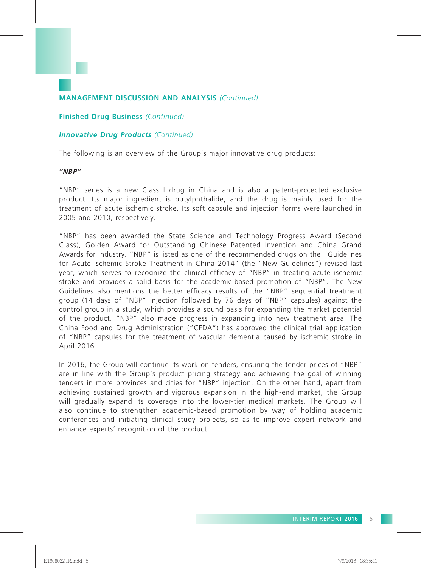# **Finished Drug Business** *(Continued)*

# *Innovative Drug Products (Continued)*

The following is an overview of the Group's major innovative drug products:

# *"NBP"*

"NBP" series is a new Class I drug in China and is also a patent-protected exclusive product. Its major ingredient is butylphthalide, and the drug is mainly used for the treatment of acute ischemic stroke. Its soft capsule and injection forms were launched in 2005 and 2010, respectively.

"NBP" has been awarded the State Science and Technology Progress Award (Second Class), Golden Award for Outstanding Chinese Patented Invention and China Grand Awards for Industry. "NBP" is listed as one of the recommended drugs on the "Guidelines for Acute Ischemic Stroke Treatment in China 2014" (the "New Guidelines") revised last year, which serves to recognize the clinical efficacy of "NBP" in treating acute ischemic stroke and provides a solid basis for the academic-based promotion of "NBP". The New Guidelines also mentions the better efficacy results of the "NBP" sequential treatment group (14 days of "NBP" injection followed by 76 days of "NBP" capsules) against the control group in a study, which provides a sound basis for expanding the market potential of the product. "NBP" also made progress in expanding into new treatment area. The China Food and Drug Administration ("CFDA") has approved the clinical trial application of "NBP" capsules for the treatment of vascular dementia caused by ischemic stroke in April 2016.

In 2016, the Group will continue its work on tenders, ensuring the tender prices of "NBP" are in line with the Group's product pricing strategy and achieving the goal of winning tenders in more provinces and cities for "NBP" injection. On the other hand, apart from achieving sustained growth and vigorous expansion in the high-end market, the Group will gradually expand its coverage into the lower-tier medical markets. The Group will also continue to strengthen academic-based promotion by way of holding academic conferences and initiating clinical study projects, so as to improve expert network and enhance experts' recognition of the product.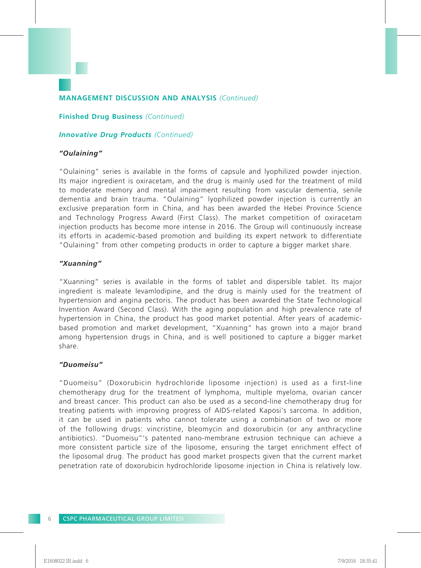**Finished Drug Business** *(Continued)*

# *Innovative Drug Products (Continued)*

# *"Oulaining"*

"Oulaining" series is available in the forms of capsule and lyophilized powder injection. Its major ingredient is oxiracetam, and the drug is mainly used for the treatment of mild to moderate memory and mental impairment resulting from vascular dementia, senile dementia and brain trauma. "Oulaining" lyophilized powder injection is currently an exclusive preparation form in China, and has been awarded the Hebei Province Science and Technology Progress Award (First Class). The market competition of oxiracetam injection products has become more intense in 2016. The Group will continuously increase its efforts in academic-based promotion and building its expert network to differentiate "Oulaining" from other competing products in order to capture a bigger market share.

# *"Xuanning"*

"Xuanning" series is available in the forms of tablet and dispersible tablet. Its major ingredient is maleate levamlodipine, and the drug is mainly used for the treatment of hypertension and angina pectoris. The product has been awarded the State Technological Invention Award (Second Class). With the aging population and high prevalence rate of hypertension in China, the product has good market potential. After years of academicbased promotion and market development, "Xuanning" has grown into a major brand among hypertension drugs in China, and is well positioned to capture a bigger market share.

# *"Duomeisu"*

"Duomeisu" (Doxorubicin hydrochloride liposome injection) is used as a first-line chemotherapy drug for the treatment of lymphoma, multiple myeloma, ovarian cancer and breast cancer. This product can also be used as a second-line chemotherapy drug for treating patients with improving progress of AIDS-related Kaposi's sarcoma. In addition, it can be used in patients who cannot tolerate using a combination of two or more of the following drugs: vincristine, bleomycin and doxorubicin (or any anthracycline antibiotics). "Duomeisu"'s patented nano-membrane extrusion technique can achieve a more consistent particle size of the liposome, ensuring the target enrichment effect of the liposomal drug. The product has good market prospects given that the current market penetration rate of doxorubicin hydrochloride liposome injection in China is relatively low.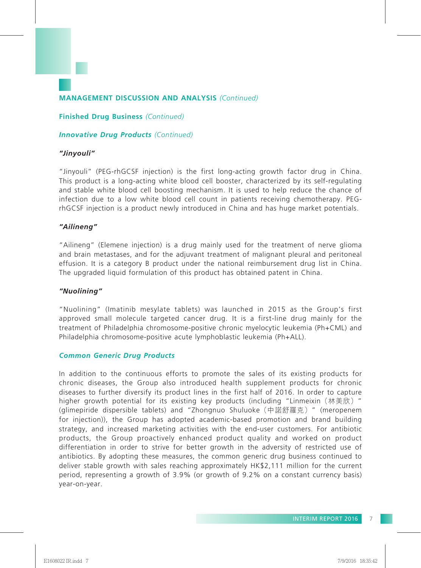**Finished Drug Business** *(Continued)*

# *Innovative Drug Products (Continued)*

## *"Jinyouli"*

"Jinyouli" (PEG-rhGCSF injection) is the first long-acting growth factor drug in China. This product is a long-acting white blood cell booster, characterized by its self-regulating and stable white blood cell boosting mechanism. It is used to help reduce the chance of infection due to a low white blood cell count in patients receiving chemotherapy. PEGrhGCSF injection is a product newly introduced in China and has huge market potentials.

## *"Ailineng"*

"Ailineng" (Elemene injection) is a drug mainly used for the treatment of nerve glioma and brain metastases, and for the adjuvant treatment of malignant pleural and peritoneal effusion. It is a category B product under the national reimbursement drug list in China. The upgraded liquid formulation of this product has obtained patent in China.

## *"Nuolining"*

"Nuolining" (Imatinib mesylate tablets) was launched in 2015 as the Group's first approved small molecule targeted cancer drug. It is a first-line drug mainly for the treatment of Philadelphia chromosome-positive chronic myelocytic leukemia (Ph+CML) and Philadelphia chromosome-positive acute lymphoblastic leukemia (Ph+ALL).

#### *Common Generic Drug Products*

In addition to the continuous efforts to promote the sales of its existing products for chronic diseases, the Group also introduced health supplement products for chronic diseases to further diversify its product lines in the first half of 2016. In order to capture higher growth potential for its existing key products (including "Linmeixin (林美欣) " (glimepiride dispersible tablets) and "Zhongnuo Shuluoke(中諾舒羅克)" (meropenem for injection)), the Group has adopted academic-based promotion and brand building strategy, and increased marketing activities with the end-user customers. For antibiotic products, the Group proactively enhanced product quality and worked on product differentiation in order to strive for better growth in the adversity of restricted use of antibiotics. By adopting these measures, the common generic drug business continued to deliver stable growth with sales reaching approximately HK\$2,111 million for the current period, representing a growth of 3.9% (or growth of 9.2% on a constant currency basis) year-on-year.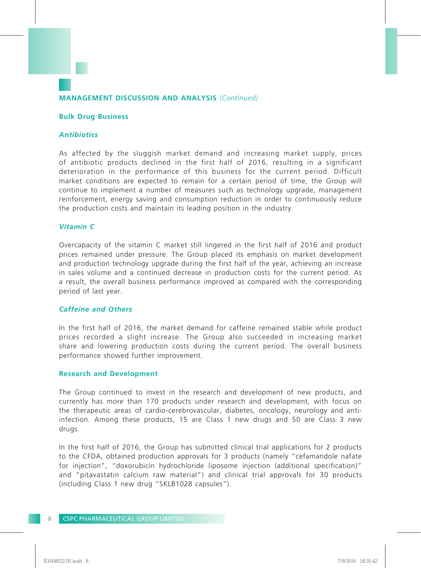# **Bulk Drug Business**

# *Antibiotics*

As affected by the sluggish market demand and increasing market supply, prices of antibiotic products declined in the first half of 2016, resulting in a significant deterioration in the performance of this business for the current period. Difficult market conditions are expected to remain for a certain period of time, the Group will continue to implement a number of measures such as technology upgrade, management reinforcement, energy saving and consumption reduction in order to continuously reduce the production costs and maintain its leading position in the industry.

# *Vitamin C*

Overcapacity of the vitamin C market still lingered in the first half of 2016 and product prices remained under pressure. The Group placed its emphasis on market development and production technology upgrade during the first half of the year, achieving an increase in sales volume and a continued decrease in production costs for the current period. As a result, the overall business performance improved as compared with the corresponding period of last year.

## *Caffeine and Others*

In the first half of 2016, the market demand for caffeine remained stable while product prices recorded a slight increase. The Group also succeeded in increasing market share and lowering production costs during the current period. The overall business performance showed further improvement.

## **Research and Development**

The Group continued to invest in the research and development of new products, and currently has more than 170 products under research and development, with focus on the therapeutic areas of cardio-cerebrovascular, diabetes, oncology, neurology and antiinfection. Among these products, 15 are Class 1 new drugs and 50 are Class 3 new drugs.

In the first half of 2016, the Group has submitted clinical trial applications for 2 products to the CFDA, obtained production approvals for 3 products (namely "cefamandole nafate for injection", "doxorubicin hydrochloride liposome injection (additional specification)" and "pitavastatin calcium raw material") and clinical trial approvals for 30 products (including Class 1 new drug "SKLB1028 capsules").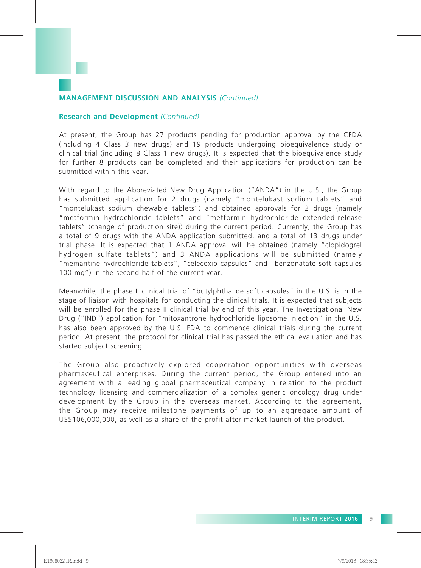# **Research and Development** *(Continued)*

At present, the Group has 27 products pending for production approval by the CFDA (including 4 Class 3 new drugs) and 19 products undergoing bioequivalence study or clinical trial (including 8 Class 1 new drugs). It is expected that the bioequivalence study for further 8 products can be completed and their applications for production can be submitted within this year.

With regard to the Abbreviated New Drug Application ("ANDA") in the U.S., the Group has submitted application for 2 drugs (namely "montelukast sodium tablets" and "montelukast sodium chewable tablets") and obtained approvals for 2 drugs (namely "metformin hydrochloride tablets" and "metformin hydrochloride extended-release tablets" (change of production site)) during the current period. Currently, the Group has a total of 9 drugs with the ANDA application submitted, and a total of 13 drugs under trial phase. It is expected that 1 ANDA approval will be obtained (namely "clopidogrel hydrogen sulfate tablets") and 3 ANDA applications will be submitted (namely "memantine hydrochloride tablets", "celecoxib capsules" and "benzonatate soft capsules 100 mg") in the second half of the current year.

Meanwhile, the phase II clinical trial of "butylphthalide soft capsules" in the U.S. is in the stage of liaison with hospitals for conducting the clinical trials. It is expected that subjects will be enrolled for the phase II clinical trial by end of this year. The Investigational New Drug ("IND") application for "mitoxantrone hydrochloride liposome injection" in the U.S. has also been approved by the U.S. FDA to commence clinical trials during the current period. At present, the protocol for clinical trial has passed the ethical evaluation and has started subject screening.

The Group also proactively explored cooperation opportunities with overseas pharmaceutical enterprises. During the current period, the Group entered into an agreement with a leading global pharmaceutical company in relation to the product technology licensing and commercialization of a complex generic oncology drug under development by the Group in the overseas market. According to the agreement, the Group may receive milestone payments of up to an aggregate amount of US\$106,000,000, as well as a share of the profit after market launch of the product.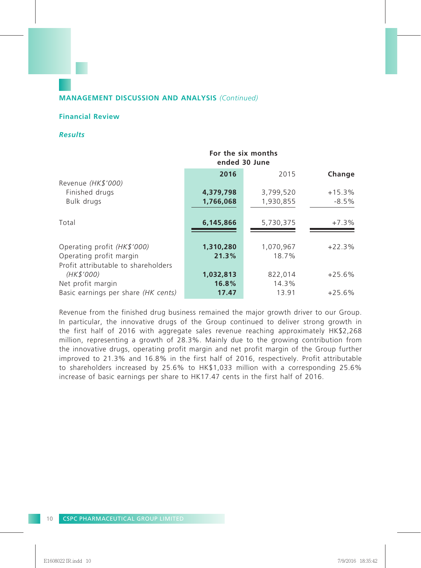# **Financial Review**

# *Results*

|                                     | For the six months<br>ended 30 June |           |          |  |  |  |
|-------------------------------------|-------------------------------------|-----------|----------|--|--|--|
|                                     | 2016                                | 2015      | Change   |  |  |  |
| Revenue (HK\$'000)                  |                                     |           |          |  |  |  |
| Finished drugs                      | 4,379,798                           | 3,799,520 | $+15.3%$ |  |  |  |
| Bulk drugs                          | 1,766,068                           | 1,930,855 | $-8.5\%$ |  |  |  |
| Total                               | 6,145,866                           | 5,730,375 | $+7.3%$  |  |  |  |
| Operating profit (HK\$'000)         | 1,310,280                           | 1,070,967 | $+22.3%$ |  |  |  |
| Operating profit margin             | 21.3%                               | 18.7%     |          |  |  |  |
| Profit attributable to shareholders |                                     |           |          |  |  |  |
| (HK\$'000)                          | 1,032,813                           | 822,014   | $+25.6%$ |  |  |  |
| Net profit margin                   | 16.8%                               | 14.3%     |          |  |  |  |
| Basic earnings per share (HK cents) | 17.47                               | 13.91     | $+25.6%$ |  |  |  |

Revenue from the finished drug business remained the major growth driver to our Group. In particular, the innovative drugs of the Group continued to deliver strong growth in the first half of 2016 with aggregate sales revenue reaching approximately HK\$2,268 million, representing a growth of 28.3%. Mainly due to the growing contribution from the innovative drugs, operating profit margin and net profit margin of the Group further improved to 21.3% and 16.8% in the first half of 2016, respectively. Profit attributable to shareholders increased by 25.6% to HK\$1,033 million with a corresponding 25.6% increase of basic earnings per share to HK17.47 cents in the first half of 2016.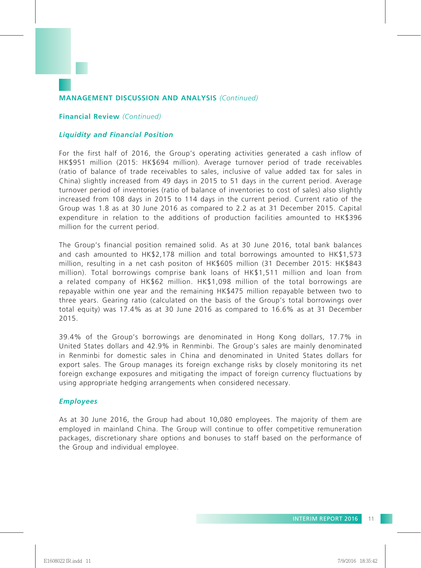## **Financial Review** *(Continued)*

## *Liquidity and Financial Position*

For the first half of 2016, the Group's operating activities generated a cash inflow of HK\$951 million (2015: HK\$694 million). Average turnover period of trade receivables (ratio of balance of trade receivables to sales, inclusive of value added tax for sales in China) slightly increased from 49 days in 2015 to 51 days in the current period. Average turnover period of inventories (ratio of balance of inventories to cost of sales) also slightly increased from 108 days in 2015 to 114 days in the current period. Current ratio of the Group was 1.8 as at 30 June 2016 as compared to 2.2 as at 31 December 2015. Capital expenditure in relation to the additions of production facilities amounted to HK\$396 million for the current period.

The Group's financial position remained solid. As at 30 June 2016, total bank balances and cash amounted to HK\$2,178 million and total borrowings amounted to HK\$1,573 million, resulting in a net cash positon of HK\$605 million (31 December 2015: HK\$843 million). Total borrowings comprise bank loans of HK\$1,511 million and loan from a related company of HK\$62 million. HK\$1,098 million of the total borrowings are repayable within one year and the remaining HK\$475 million repayable between two to three years. Gearing ratio (calculated on the basis of the Group's total borrowings over total equity) was 17.4% as at 30 June 2016 as compared to 16.6% as at 31 December 2015.

39.4% of the Group's borrowings are denominated in Hong Kong dollars, 17.7% in United States dollars and 42.9% in Renminbi. The Group's sales are mainly denominated in Renminbi for domestic sales in China and denominated in United States dollars for export sales. The Group manages its foreign exchange risks by closely monitoring its net foreign exchange exposures and mitigating the impact of foreign currency fluctuations by using appropriate hedging arrangements when considered necessary.

## *Employees*

As at 30 June 2016, the Group had about 10,080 employees. The majority of them are employed in mainland China. The Group will continue to offer competitive remuneration packages, discretionary share options and bonuses to staff based on the performance of the Group and individual employee.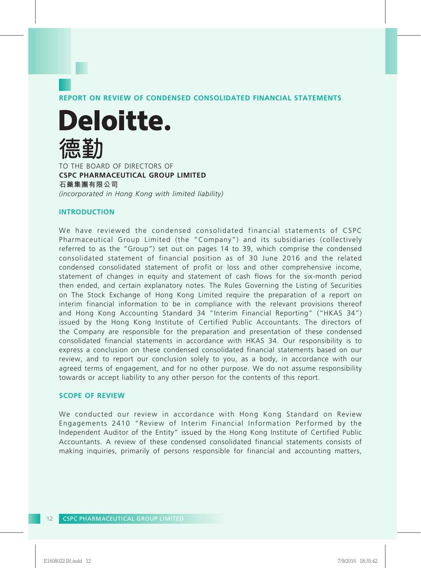**REPORT ON REVIEW OF CONDENSED CONSOLIDATED FINANCIAL STATEMENTS**

**Deloitte.** TO THE BOARD OF DIRECTORS OF

**CSPC PHARMACEUTICAL GROUP LIMITED 石藥集團有限公司** *(incorporated in Hong Kong with limited liability)*

### **INTRODUCTION**

We have reviewed the condensed consolidated financial statements of CSPC Pharmaceutical Group Limited (the "Company") and its subsidiaries (collectively referred to as the "Group") set out on pages 14 to 39, which comprise the condensed consolidated statement of financial position as of 30 June 2016 and the related condensed consolidated statement of profit or loss and other comprehensive income, statement of changes in equity and statement of cash flows for the six-month period then ended, and certain explanatory notes. The Rules Governing the Listing of Securities on The Stock Exchange of Hong Kong Limited require the preparation of a report on interim financial information to be in compliance with the relevant provisions thereof and Hong Kong Accounting Standard 34 "Interim Financial Reporting" ("HKAS 34") issued by the Hong Kong Institute of Certified Public Accountants. The directors of the Company are responsible for the preparation and presentation of these condensed consolidated financial statements in accordance with HKAS 34. Our responsibility is to express a conclusion on these condensed consolidated financial statements based on our review, and to report our conclusion solely to you, as a body, in accordance with our agreed terms of engagement, and for no other purpose. We do not assume responsibility towards or accept liability to any other person for the contents of this report.

#### **SCOPE OF REVIEW**

We conducted our review in accordance with Hong Kong Standard on Review Engagements 2410 "Review of Interim Financial Information Performed by the Independent Auditor of the Entity" issued by the Hong Kong Institute of Certified Public Accountants. A review of these condensed consolidated financial statements consists of making inquiries, primarily of persons responsible for financial and accounting matters,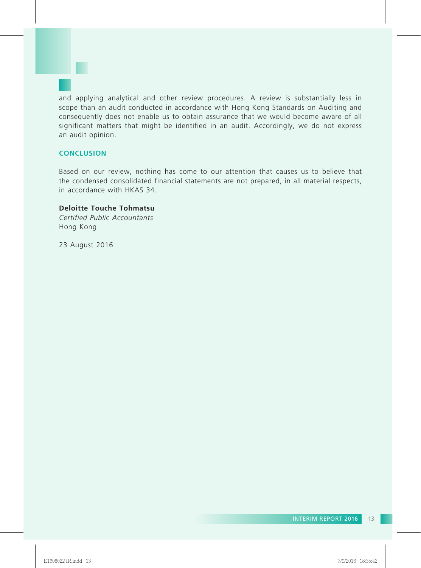and applying analytical and other review procedures. A review is substantially less in scope than an audit conducted in accordance with Hong Kong Standards on Auditing and consequently does not enable us to obtain assurance that we would become aware of all significant matters that might be identified in an audit. Accordingly, we do not express an audit opinion.

# **CONCLUSION**

Based on our review, nothing has come to our attention that causes us to believe that the condensed consolidated financial statements are not prepared, in all material respects, in accordance with HKAS 34.

# **Deloitte Touche Tohmatsu**

*Certified Public Accountants* Hong Kong

23 August 2016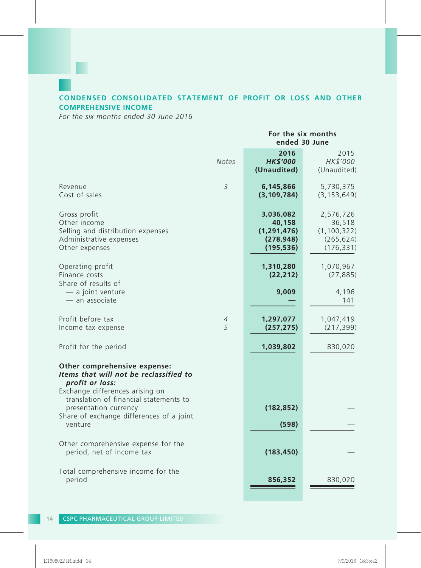# **CONDENSED CONSOLIDATED STATEMENT OF PROFIT OR LOSS AND OTHER COMPREHENSIVE INCOME**

*For the six months ended 30 June 2016*

|                                                                                                                                                                        |                | For the six months<br>ended 30 June                              |                                                                  |  |  |
|------------------------------------------------------------------------------------------------------------------------------------------------------------------------|----------------|------------------------------------------------------------------|------------------------------------------------------------------|--|--|
|                                                                                                                                                                        | <b>Notes</b>   | 2016<br><b>HK\$'000</b><br>(Unaudited)                           | 2015<br>HK\$'000<br>(Unaudited)                                  |  |  |
| Revenue<br>Cost of sales                                                                                                                                               | $\overline{3}$ | 6,145,866<br>(3, 109, 784)                                       | 5,730,375<br>(3, 153, 649)                                       |  |  |
| Gross profit<br>Other income<br>Selling and distribution expenses<br>Administrative expenses<br>Other expenses                                                         |                | 3,036,082<br>40,158<br>(1, 291, 476)<br>(278, 948)<br>(195, 536) | 2,576,726<br>36,518<br>(1, 100, 322)<br>(265, 624)<br>(176, 331) |  |  |
| Operating profit<br>Finance costs<br>Share of results of                                                                                                               |                | 1,310,280<br>(22, 212)                                           | 1,070,967<br>(27, 885)                                           |  |  |
| - a joint venture<br>- an associate                                                                                                                                    |                | 9,009                                                            | 4,196<br>141                                                     |  |  |
| Profit before tax<br>Income tax expense                                                                                                                                | 4<br>5         | 1,297,077<br>(257, 275)                                          | 1,047,419<br>(217, 399)                                          |  |  |
| Profit for the period                                                                                                                                                  |                | 1,039,802                                                        | 830,020                                                          |  |  |
| Other comprehensive expense:<br>Items that will not be reclassified to<br>profit or loss:<br>Exchange differences arising on<br>translation of financial statements to |                |                                                                  |                                                                  |  |  |
| presentation currency<br>Share of exchange differences of a joint                                                                                                      |                | (182, 852)                                                       |                                                                  |  |  |
| venture                                                                                                                                                                |                | (598)                                                            |                                                                  |  |  |
| Other comprehensive expense for the<br>period, net of income tax                                                                                                       |                | (183, 450)                                                       |                                                                  |  |  |
| Total comprehensive income for the<br>period                                                                                                                           |                | 856,352                                                          | 830,020                                                          |  |  |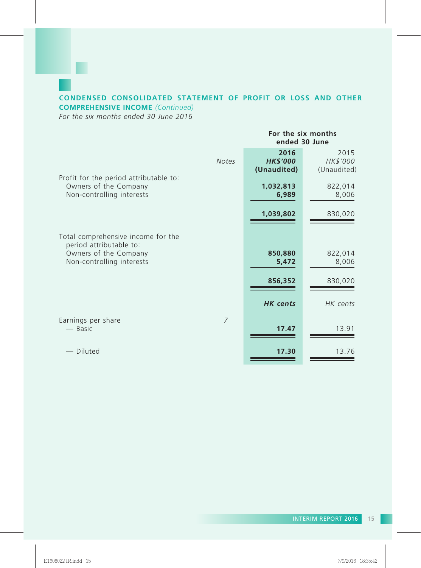## **CONDENSED CONSOLIDATED STATEMENT OF PROFIT OR LOSS AND OTHER COMPREHENSIVE INCOME** *(Continued)*

*For the six months ended 30 June 2016*

**For the six months ended 30 June 2016** 2015<br>**2006** 2015 *Notes HK\$'000 HK\$'000* **(Unaudited)** (Unaudited) Profit for the period attributable to: Owners of the Company **1,032,813** 822,014 Non-controlling interests **1,039,802** 830,020 Total comprehensive income for the period attributable to: Owners of the Company **850,880** 822,014<br>Non-controlling interests **850,880** 822,014<br>**8,006** 8,006 **Non-controlling interests 856,352** 830,020 *HK cents HK cents* Earnings per share *7*<br>
— Basic — Basic **17.47** 13.91 — Diluted **17.30** 13.76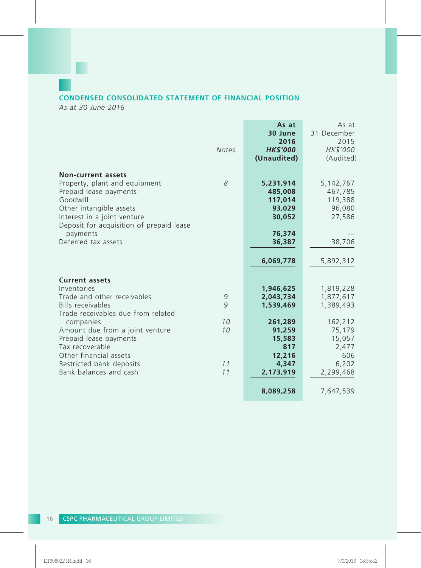# **CONDENSED CONSOLIDATED STATEMENT OF FINANCIAL POSITION**

*As at 30 June 2016*

П

|                                                                                                                                                                                                        | <b>Notes</b>   | As at<br>30 June<br>2016<br><b>HK\$'000</b><br>(Unaudited) | As at<br>31 December<br>2015<br>HK\$'000<br>(Audited) |
|--------------------------------------------------------------------------------------------------------------------------------------------------------------------------------------------------------|----------------|------------------------------------------------------------|-------------------------------------------------------|
| <b>Non-current assets</b><br>Property, plant and equipment<br>Prepaid lease payments<br>Goodwill<br>Other intangible assets<br>Interest in a joint venture<br>Deposit for acquisition of prepaid lease | 8              | 5,231,914<br>485,008<br>117,014<br>93,029<br>30,052        | 5, 142, 767<br>467,785<br>119,388<br>96,080<br>27,586 |
| payments<br>Deferred tax assets                                                                                                                                                                        |                | 76,374<br>36,387<br>6,069,778                              | 38,706<br>5,892,312                                   |
| <b>Current assets</b><br>Inventories<br>Trade and other receivables<br>Bills receivables<br>Trade receivables due from related                                                                         | 9<br>9         | 1,946,625<br>2,043,734<br>1,539,469                        | 1,819,228<br>1,877,617<br>1,389,493                   |
| companies<br>Amount due from a joint venture<br>Prepaid lease payments<br>Tax recoverable<br>Other financial assets<br>Restricted bank deposits                                                        | 10<br>10<br>11 | 261,289<br>91,259<br>15,583<br>817<br>12,216<br>4,347      | 162,212<br>75,179<br>15,057<br>2,477<br>606<br>6,202  |
| Bank balances and cash                                                                                                                                                                                 | 11             | 2,173,919<br>8,089,258                                     | 2,299,468<br>7,647,539                                |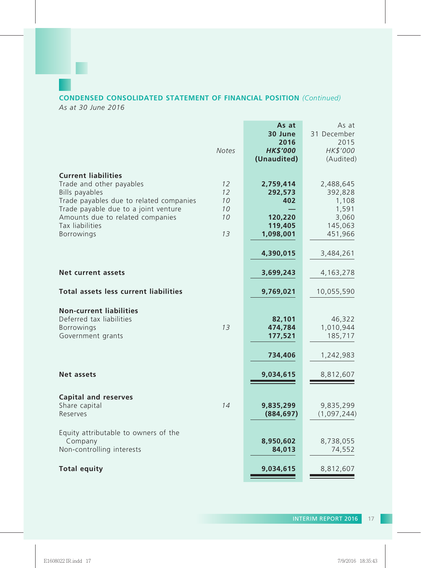# **CONDENSED CONSOLIDATED STATEMENT OF FINANCIAL POSITION** *(Continued)*

*As at 30 June 2016*

|                                                                                                                                                                                                                                         | <b>Notes</b>                     | As at<br>30 June<br>2016<br><b>HK\$'000</b><br>(Unaudited)     | As at<br>31 December<br>2015<br>HK\$'000<br>(Audited)                 |
|-----------------------------------------------------------------------------------------------------------------------------------------------------------------------------------------------------------------------------------------|----------------------------------|----------------------------------------------------------------|-----------------------------------------------------------------------|
| <b>Current liabilities</b><br>Trade and other payables<br>Bills payables<br>Trade payables due to related companies<br>Trade payable due to a joint venture<br>Amounts due to related companies<br>Tax liabilities<br><b>Borrowings</b> | 12<br>12<br>10<br>10<br>10<br>13 | 2,759,414<br>292,573<br>402<br>120,220<br>119,405<br>1,098,001 | 2,488,645<br>392,828<br>1,108<br>1,591<br>3,060<br>145,063<br>451,966 |
| Net current assets                                                                                                                                                                                                                      |                                  | 4,390,015<br>3,699,243                                         | 3,484,261<br>4,163,278                                                |
| Total assets less current liabilities                                                                                                                                                                                                   |                                  | 9,769,021                                                      | 10,055,590                                                            |
| <b>Non-current liabilities</b><br>Deferred tax liabilities<br><b>Borrowings</b><br>Government grants                                                                                                                                    | 13                               | 82,101<br>474,784<br>177,521                                   | 46,322<br>1,010,944<br>185,717                                        |
|                                                                                                                                                                                                                                         |                                  | 734,406                                                        | 1,242,983                                                             |
| Net assets                                                                                                                                                                                                                              |                                  | 9,034,615                                                      | 8,812,607                                                             |
| <b>Capital and reserves</b><br>Share capital<br>Reserves                                                                                                                                                                                | 14                               | 9,835,299<br>(884, 697)                                        | 9,835,299<br>(1,097,244)                                              |
| Equity attributable to owners of the<br>Company<br>Non-controlling interests                                                                                                                                                            |                                  | 8,950,602<br>84,013                                            | 8,738,055<br>74,552                                                   |
| <b>Total equity</b>                                                                                                                                                                                                                     |                                  | 9,034,615                                                      | 8,812,607                                                             |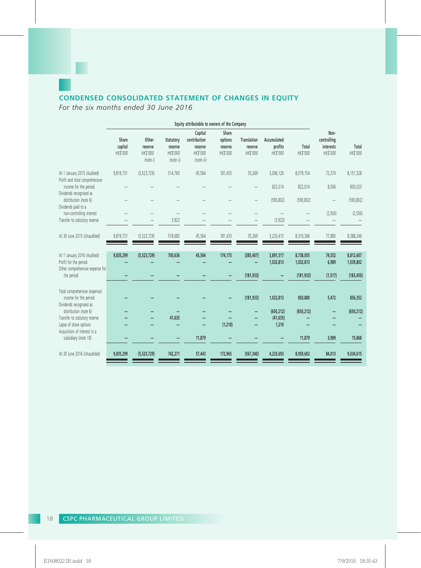# **CONDENSED CONSOLIDATED STATEMENT OF CHANGES IN EQUITY**

*For the six months ended 30 June 2016*

п

| Equity attributable to owners of the Company                                                          |                              |                                          |                                               |                                                              |                                         |                                           |                                    |                                      |                                              |                                      |
|-------------------------------------------------------------------------------------------------------|------------------------------|------------------------------------------|-----------------------------------------------|--------------------------------------------------------------|-----------------------------------------|-------------------------------------------|------------------------------------|--------------------------------------|----------------------------------------------|--------------------------------------|
|                                                                                                       | Share<br>capital<br>HK\$'000 | Other<br>reserve<br>HK\$'000<br>(note i) | Statutory<br>reserve<br>HK\$'000<br>(note ii) | Capital<br>contribution<br>reserve<br>HK\$'000<br>(note iii) | Share<br>options<br>reserve<br>HK\$'000 | <b>Translation</b><br>reserve<br>HK\$'000 | Accumulated<br>profits<br>HK\$'000 | Total<br>HK\$'000                    | Non-<br>controlling<br>interests<br>HK\$'000 | Total<br>HK\$'000                    |
| At 1 January 2015 (Audited)<br>Profit and total comprehensive                                         | 9,819,731                    | (5, 523, 729)                            | 514,760                                       | 45,564                                                       | 181,433                                 | 35,269                                    | 3,006,126                          | 8,079,154                            | 72,374                                       | 8,151,528                            |
| income for the period<br>Dividends recognised as                                                      |                              |                                          |                                               |                                                              |                                         | -                                         | 822,014                            | 822,014                              | 8,006                                        | 830,020                              |
| distribution (note 6)<br>Dividends paid to a                                                          |                              |                                          |                                               |                                                              |                                         | -                                         | (590, 802)                         | (590, 802)                           | $\overline{\phantom{0}}$                     | (590, 802)                           |
| non-controlling interest<br>Transfer to statutory reserve                                             |                              |                                          | 3,923                                         |                                                              |                                         |                                           | (3,923)                            |                                      | (2,500)                                      | (2,500)                              |
| At 30 June 2015 (Unaudited)                                                                           | 9,819,731                    | (5,523,729)                              | 518,683                                       | 45,564                                                       | 181,433                                 | 35,269                                    | 3,233,415                          | 8,310,366                            | 77,880                                       | 8,388,246                            |
| At 1 January 2016 (Audited)<br>Profit for the period<br>Other comprehensive expense for<br>the period | 9,835,299                    | (5,523,729)                              | 700,636                                       | 45,564                                                       | 174,175                                 | (385, 407)<br>(181, 933)                  | 3,891,517<br>1,032,813             | 8,738,055<br>1,032,813<br>(181, 933) | 74,552<br>6,989<br>(1, 517)                  | 8,812,607<br>1,039,802<br>(183, 450) |
| Total comprehensive (expense)<br>income for the period<br>Dividends recognised as                     |                              |                                          |                                               |                                                              |                                         | (181, 933)                                | 1,032,813                          | 850,880                              | 5,472                                        | 856,352                              |
| distribution (note 6)<br>Transfer to statutory reserve<br>Lapse of share options                      |                              |                                          | 41,635                                        |                                                              | (1, 210)                                |                                           | (650, 212)<br>(41, 635)<br>1,210   | (650, 212)                           |                                              | (650, 212)                           |
| Acquisition of interest in a<br>subsidiary (note 18)                                                  |                              |                                          |                                               | 11,879                                                       |                                         |                                           |                                    | 11,879                               | 3,989                                        | 15,868                               |
| At 30 June 2016 (Unaudited)                                                                           | 9,835,299                    | (5,523,729)                              | 742,271                                       | 57,443                                                       | 172,965                                 | (567, 340)                                | 4,233,693                          | 8,950,602                            | 84,013                                       | 9,034,615                            |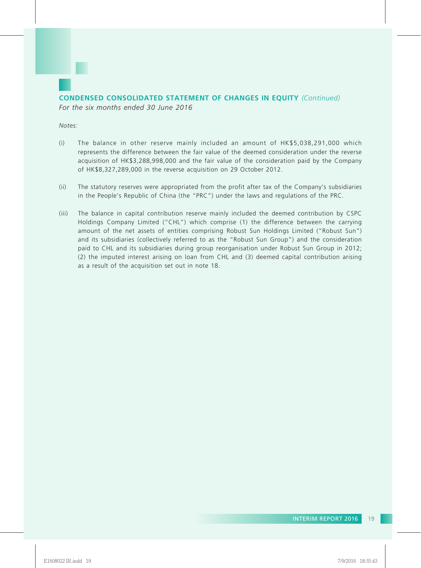

*Notes:*

- (i) The balance in other reserve mainly included an amount of HK\$5,038,291,000 which represents the difference between the fair value of the deemed consideration under the reverse acquisition of HK\$3,288,998,000 and the fair value of the consideration paid by the Company of HK\$8,327,289,000 in the reverse acquisition on 29 October 2012.
- (ii) The statutory reserves were appropriated from the profit after tax of the Company's subsidiaries in the People's Republic of China (the "PRC") under the laws and regulations of the PRC.
- (iii) The balance in capital contribution reserve mainly included the deemed contribution by CSPC Holdings Company Limited ("CHL") which comprise (1) the difference between the carrying amount of the net assets of entities comprising Robust Sun Holdings Limited ("Robust Sun") and its subsidiaries (collectively referred to as the "Robust Sun Group") and the consideration paid to CHL and its subsidiaries during group reorganisation under Robust Sun Group in 2012; (2) the imputed interest arising on loan from CHL and (3) deemed capital contribution arising as a result of the acquisition set out in note 18.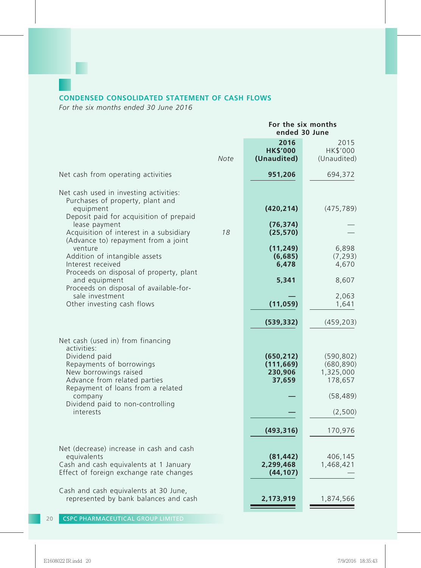# **CONDENSED CONSOLIDATED STATEMENT OF CASH FLOWS**

*For the six months ended 30 June 2016*

|                                                                                                                                                                                                                                                         |      | For the six months<br>ended 30 June                         |                                                                                     |  |  |
|---------------------------------------------------------------------------------------------------------------------------------------------------------------------------------------------------------------------------------------------------------|------|-------------------------------------------------------------|-------------------------------------------------------------------------------------|--|--|
|                                                                                                                                                                                                                                                         | Note | 2016<br><b>HK\$'000</b><br>(Unaudited)                      | 2015<br>HK\$'000<br>(Unaudited)                                                     |  |  |
| Net cash from operating activities                                                                                                                                                                                                                      |      | 951,206                                                     | 694,372                                                                             |  |  |
| Net cash used in investing activities:<br>Purchases of property, plant and<br>equipment<br>Deposit paid for acquisition of prepaid<br>lease payment                                                                                                     |      | (420, 214)<br>(76, 374)                                     | (475, 789)                                                                          |  |  |
| Acquisition of interest in a subsidiary<br>(Advance to) repayment from a joint                                                                                                                                                                          | 18   | (25, 570)                                                   |                                                                                     |  |  |
| venture<br>Addition of intangible assets<br>Interest received<br>Proceeds on disposal of property, plant                                                                                                                                                |      | (11, 249)<br>(6,685)<br>6,478                               | 6,898<br>(7, 293)<br>4,670                                                          |  |  |
| and equipment<br>Proceeds on disposal of available-for-                                                                                                                                                                                                 |      | 5,341                                                       | 8,607                                                                               |  |  |
| sale investment<br>Other investing cash flows                                                                                                                                                                                                           |      | (11, 059)                                                   | 2,063<br>1,641                                                                      |  |  |
|                                                                                                                                                                                                                                                         |      | (539, 332)                                                  | (459, 203)                                                                          |  |  |
| Net cash (used in) from financing<br>activities:<br>Dividend paid<br>Repayments of borrowings<br>New borrowings raised<br>Advance from related parties<br>Repayment of loans from a related<br>company<br>Dividend paid to non-controlling<br>interests |      | (650, 212)<br>(111, 669)<br>230,906<br>37,659<br>(493, 316) | (590, 802)<br>(680, 890)<br>1,325,000<br>178,657<br>(58, 489)<br>(2,500)<br>170,976 |  |  |
| Net (decrease) increase in cash and cash<br>equivalents<br>Cash and cash equivalents at 1 January<br>Effect of foreign exchange rate changes                                                                                                            |      | (81, 442)<br>2,299,468<br>(44, 107)                         | 406,145<br>1,468,421                                                                |  |  |
| Cash and cash equivalents at 30 June,<br>represented by bank balances and cash                                                                                                                                                                          |      | 2,173,919                                                   | 1,874,566                                                                           |  |  |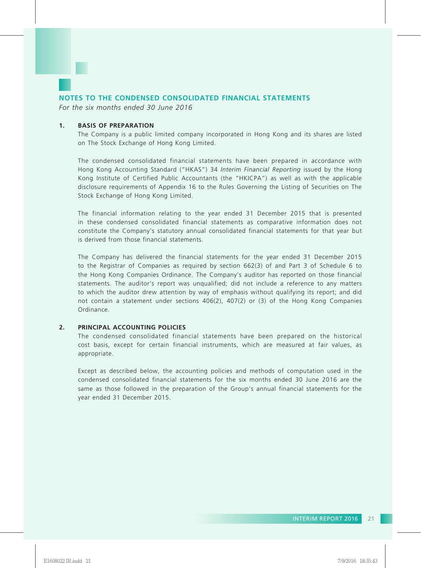

*For the six months ended 30 June 2016*

#### **1. BASIS OF PREPARATION**

The Company is a public limited company incorporated in Hong Kong and its shares are listed on The Stock Exchange of Hong Kong Limited.

The condensed consolidated financial statements have been prepared in accordance with Hong Kong Accounting Standard ("HKAS") 34 *Interim Financial Reporting* issued by the Hong Kong Institute of Certified Public Accountants (the "HKICPA") as well as with the applicable disclosure requirements of Appendix 16 to the Rules Governing the Listing of Securities on The Stock Exchange of Hong Kong Limited.

The financial information relating to the year ended 31 December 2015 that is presented in these condensed consolidated financial statements as comparative information does not constitute the Company's statutory annual consolidated financial statements for that year but is derived from those financial statements.

The Company has delivered the financial statements for the year ended 31 December 2015 to the Registrar of Companies as required by section 662(3) of and Part 3 of Schedule 6 to the Hong Kong Companies Ordinance. The Company's auditor has reported on those financial statements. The auditor's report was unqualified; did not include a reference to any matters to which the auditor drew attention by way of emphasis without qualifying its report; and did not contain a statement under sections 406(2), 407(2) or (3) of the Hong Kong Companies Ordinance.

#### **2. PRINCIPAL ACCOUNTING POLICIES**

The condensed consolidated financial statements have been prepared on the historical cost basis, except for certain financial instruments, which are measured at fair values, as appropriate.

Except as described below, the accounting policies and methods of computation used in the condensed consolidated financial statements for the six months ended 30 June 2016 are the same as those followed in the preparation of the Group's annual financial statements for the year ended 31 December 2015.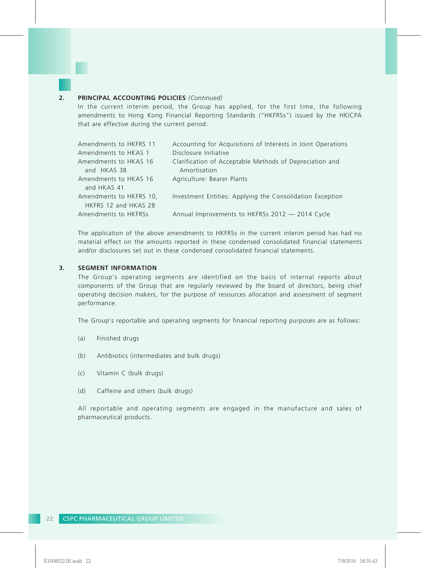#### **2. PRINCIPAL ACCOUNTING POLICIES** *(Continued)*

In the current interim period, the Group has applied, for the first time, the following amendments to Hong Kong Financial Reporting Standards ("HKFRSs") issued by the HKICPA that are effective during the current period:

| Amendments to HKFRS 11  | Accounting for Acquisitions of Interests in Joint Operations |
|-------------------------|--------------------------------------------------------------|
| Amendments to HKAS 1    | Disclosure Initiative                                        |
| Amendments to HKAS 16   | Clarification of Acceptable Methods of Depreciation and      |
| and HKAS 38             | Amortisation                                                 |
| Amendments to HKAS 16   | Agriculture: Bearer Plants                                   |
| and HKAS 41             |                                                              |
| Amendments to HKFRS 10, | Investment Entities: Applying the Consolidation Exception    |
| HKFRS 12 and HKAS 28    |                                                              |
| Amendments to HKFRSs    | Annual Improvements to HKFRSs 2012 - 2014 Cycle              |

The application of the above amendments to HKFRSs in the current interim period has had no material effect on the amounts reported in these condensed consolidated financial statements and/or disclosures set out in these condensed consolidated financial statements.

#### **3. SEGMENT INFORMATION**

The Group's operating segments are identified on the basis of internal reports about components of the Group that are regularly reviewed by the board of directors, being chief operating decision makers, for the purpose of resources allocation and assessment of segment performance.

The Group's reportable and operating segments for financial reporting purposes are as follows:

- (a) Finished drugs
- (b) Antibiotics (intermediates and bulk drugs)
- (c) Vitamin C (bulk drugs)
- (d) Caffeine and others (bulk drugs)

All reportable and operating segments are engaged in the manufacture and sales of pharmaceutical products.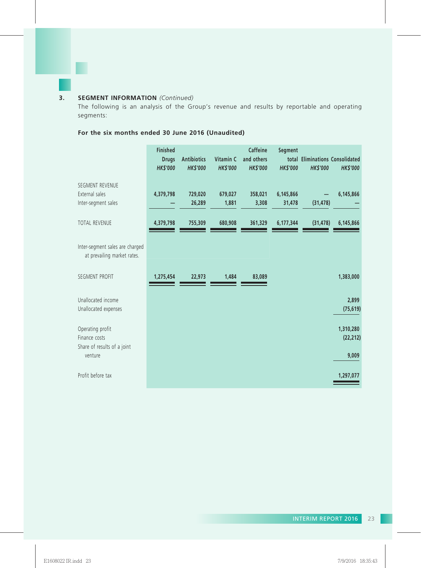# **3. SEGMENT INFORMATION** *(Continued)*

The following is an analysis of the Group's revenue and results by reportable and operating segments:

# **For the six months ended 30 June 2016 (Unaudited)**

|                                                                  | <b>Finished</b><br><b>Drugs</b><br><b>HK\$'000</b> | <b>Antibiotics</b><br><b>HK\$'000</b> | Vitamin C<br><b>HK\$'000</b> | <b>Caffeine</b><br>and others<br><b>HK\$'000</b> | Segment<br><b>HK\$'000</b> | <b>HK\$'000</b> | total Eliminations Consolidated<br><b>HK\$'000</b> |
|------------------------------------------------------------------|----------------------------------------------------|---------------------------------------|------------------------------|--------------------------------------------------|----------------------------|-----------------|----------------------------------------------------|
| SEGMENT REVENUE<br>External sales<br>Inter-segment sales         | 4,379,798                                          | 729,020<br>26,289                     | 679,027<br>1,881             | 358,021<br>3,308                                 | 6,145,866<br>31,478        | (31, 478)       | 6,145,866                                          |
| <b>TOTAL REVENUE</b>                                             | 4,379,798                                          | 755,309                               | 680,908                      | 361,329                                          | 6,177,344                  | (31, 478)       | 6,145,866                                          |
| Inter-segment sales are charged<br>at prevailing market rates.   |                                                    |                                       |                              |                                                  |                            |                 |                                                    |
| <b>SEGMENT PROFIT</b>                                            | 1,275,454                                          | 22,973                                | 1,484                        | 83,089                                           |                            |                 | 1,383,000                                          |
| Unallocated income<br>Unallocated expenses                       |                                                    |                                       |                              |                                                  |                            |                 | 2,899<br>(75, 619)                                 |
| Operating profit<br>Finance costs<br>Share of results of a joint |                                                    |                                       |                              |                                                  |                            |                 | 1,310,280<br>(22, 212)                             |
| venture<br>Profit before tax                                     |                                                    |                                       |                              |                                                  |                            |                 | 9,009<br>1,297,077                                 |
|                                                                  |                                                    |                                       |                              |                                                  |                            |                 |                                                    |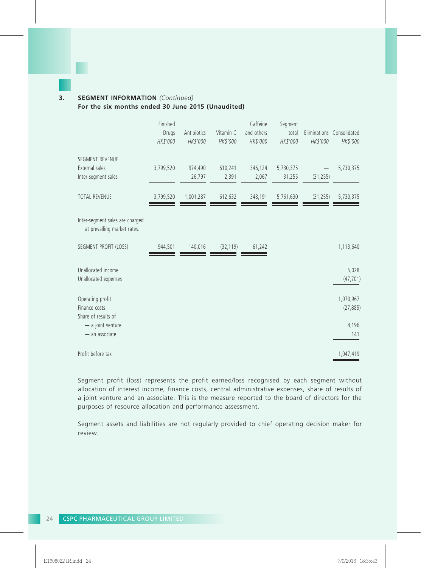# **3. SEGMENT INFORMATION** *(Continued)*

**For the six months ended 30 June 2015 (Unaudited)**

|                                                                | Finished<br>Drugs<br>HK\$'000 | Antibiotics<br>HK\$'000 | Vitamin C<br>HK\$'000 | Caffeine<br>and others<br>HK\$'000 | Segment<br>total<br>HK\$'000 | HK\$'000  | Eliminations Consolidated<br>HK\$'000 |
|----------------------------------------------------------------|-------------------------------|-------------------------|-----------------------|------------------------------------|------------------------------|-----------|---------------------------------------|
| SEGMENT REVENUE<br>External sales<br>Inter-segment sales       | 3,799,520                     | 974,490<br>26,797       | 610,241<br>2,391      | 346,124<br>2,067                   | 5,730,375<br>31,255          | (31, 255) | 5,730,375                             |
| <b>TOTAL REVENUE</b>                                           | 3,799,520                     | 1,001,287               | 612,632               | 348,191                            | 5,761,630                    | (31, 255) | 5,730,375                             |
| Inter-segment sales are charged<br>at prevailing market rates. |                               |                         |                       |                                    |                              |           |                                       |
| SEGMENT PROFIT (LOSS)                                          | 944,501                       | 140,016                 | (32, 119)             | 61,242                             |                              |           | 1,113,640                             |
| Unallocated income<br>Unallocated expenses                     |                               |                         |                       |                                    |                              |           | 5,028<br>(47, 701)                    |
| Operating profit<br>Finance costs<br>Share of results of       |                               |                         |                       |                                    |                              |           | 1,070,967<br>(27, 885)                |
| $-$ a joint venture<br>- an associate                          |                               |                         |                       |                                    |                              |           | 4,196<br>141                          |
| Profit before tax                                              |                               |                         |                       |                                    |                              |           | 1,047,419                             |

Segment profit (loss) represents the profit earned/loss recognised by each segment without allocation of interest income, finance costs, central administrative expenses, share of results of a joint venture and an associate. This is the measure reported to the board of directors for the purposes of resource allocation and performance assessment.

Segment assets and liabilities are not regularly provided to chief operating decision maker for review.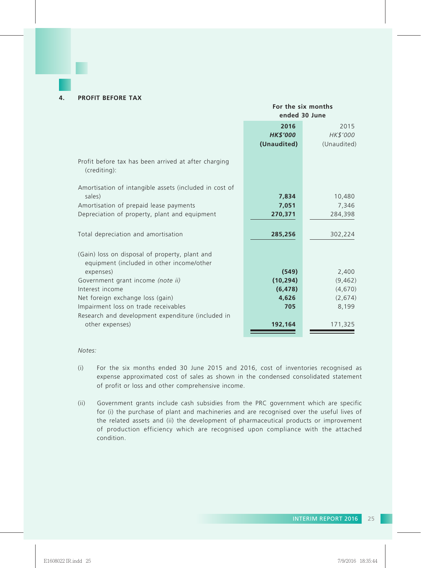#### **4. PROFIT BEFORE TAX**

#### **For the six months ended 30 June**

|                                                                                       | 2016<br><b>HK\$'000</b><br>(Unaudited) | 2015<br>HK\$'000<br>(Unaudited) |
|---------------------------------------------------------------------------------------|----------------------------------------|---------------------------------|
| Profit before tax has been arrived at after charging<br>(crediting):                  |                                        |                                 |
| Amortisation of intangible assets (included in cost of<br>sales)                      | 7,834                                  | 10,480                          |
| Amortisation of prepaid lease payments                                                | 7,051                                  | 7,346                           |
| Depreciation of property, plant and equipment                                         | 270,371                                | 284,398                         |
| Total depreciation and amortisation<br>(Gain) loss on disposal of property, plant and | 285,256                                | 302,224                         |
| equipment (included in other income/other<br>expenses)                                | (549)                                  | 2,400                           |
|                                                                                       | (10, 294)                              | (9,462)                         |
| Government grant income (note ii)                                                     |                                        |                                 |
| Interest income                                                                       | (6, 478)                               | (4,670)                         |
| Net foreign exchange loss (gain)                                                      | 4,626                                  | (2,674)                         |
| Impairment loss on trade receivables                                                  | 705                                    | 8,199                           |
| Research and development expenditure (included in<br>other expenses)                  | 192,164                                | 171,325                         |

*Notes:*

- (i) For the six months ended 30 June 2015 and 2016, cost of inventories recognised as expense approximated cost of sales as shown in the condensed consolidated statement of profit or loss and other comprehensive income.
- (ii) Government grants include cash subsidies from the PRC government which are specific for (i) the purchase of plant and machineries and are recognised over the useful lives of the related assets and (ii) the development of pharmaceutical products or improvement of production efficiency which are recognised upon compliance with the attached condition.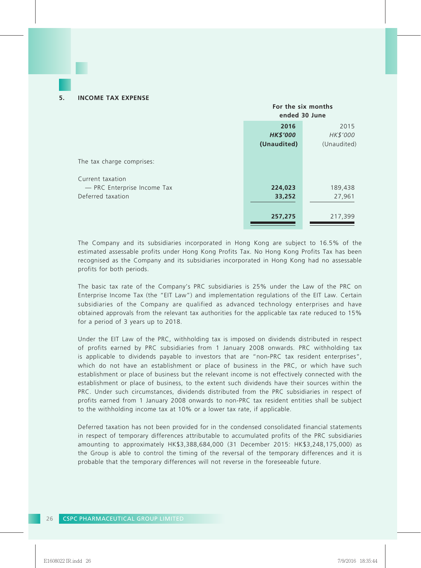|                                                  | For the six months<br>ended 30 June    |                                 |
|--------------------------------------------------|----------------------------------------|---------------------------------|
|                                                  | 2016<br><b>HK\$'000</b><br>(Unaudited) | 2015<br>HK\$'000<br>(Unaudited) |
| The tax charge comprises:<br>Current taxation    |                                        |                                 |
| - PRC Enterprise Income Tax<br>Deferred taxation | 224,023<br>33,252                      | 189,438<br>27,961               |
|                                                  | 257,275                                | 217,399                         |

The Company and its subsidiaries incorporated in Hong Kong are subject to 16.5% of the estimated assessable profits under Hong Kong Profits Tax. No Hong Kong Profits Tax has been recognised as the Company and its subsidiaries incorporated in Hong Kong had no assessable profits for both periods.

The basic tax rate of the Company's PRC subsidiaries is 25% under the Law of the PRC on Enterprise Income Tax (the "EIT Law") and implementation regulations of the EIT Law. Certain subsidiaries of the Company are qualified as advanced technology enterprises and have obtained approvals from the relevant tax authorities for the applicable tax rate reduced to 15% for a period of 3 years up to 2018.

Under the EIT Law of the PRC, withholding tax is imposed on dividends distributed in respect of profits earned by PRC subsidiaries from 1 January 2008 onwards. PRC withholding tax is applicable to dividends payable to investors that are "non-PRC tax resident enterprises", which do not have an establishment or place of business in the PRC, or which have such establishment or place of business but the relevant income is not effectively connected with the establishment or place of business, to the extent such dividends have their sources within the PRC. Under such circumstances, dividends distributed from the PRC subsidiaries in respect of profits earned from 1 January 2008 onwards to non-PRC tax resident entities shall be subject to the withholding income tax at 10% or a lower tax rate, if applicable.

Deferred taxation has not been provided for in the condensed consolidated financial statements in respect of temporary differences attributable to accumulated profits of the PRC subsidiaries amounting to approximately HK\$3,388,684,000 (31 December 2015: HK\$3,248,175,000) as the Group is able to control the timing of the reversal of the temporary differences and it is probable that the temporary differences will not reverse in the foreseeable future.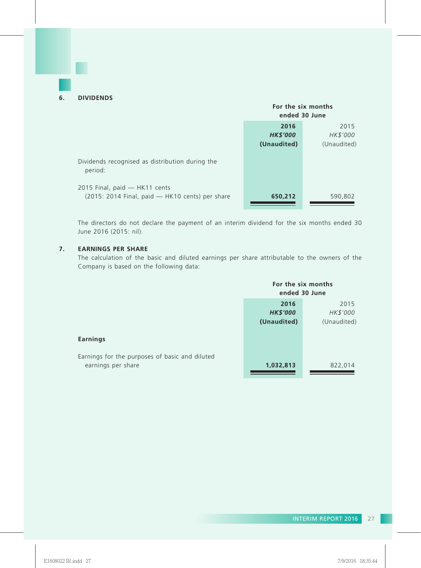|                                                                                  | For the six months<br>ended 30 June    |                                 |
|----------------------------------------------------------------------------------|----------------------------------------|---------------------------------|
|                                                                                  | 2016<br><b>HK\$'000</b><br>(Unaudited) | 2015<br>HK\$'000<br>(Unaudited) |
| Dividends recognised as distribution during the<br>period:                       |                                        |                                 |
| 2015 Final, paid - HK11 cents<br>(2015: 2014 Final, paid - HK10 cents) per share | 650,212                                | 590,802                         |

The directors do not declare the payment of an interim dividend for the six months ended 30 June 2016 (2015: nil).

## **7. EARNINGS PER SHARE**

The calculation of the basic and diluted earnings per share attributable to the owners of the Company is based on the following data:

|                                                                      | For the six months<br>ended 30 June |             |
|----------------------------------------------------------------------|-------------------------------------|-------------|
|                                                                      | 2016                                | 2015        |
|                                                                      | <b>HK\$'000</b>                     | HK\$'000    |
|                                                                      | (Unaudited)                         | (Unaudited) |
| Earnings                                                             |                                     |             |
| Earnings for the purposes of basic and diluted<br>earnings per share | 1,032,813                           | 822,014     |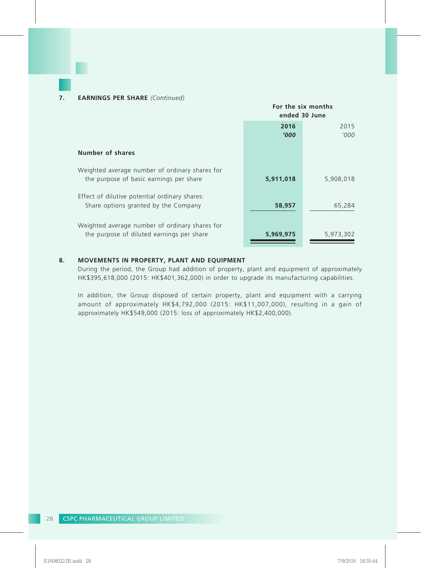|                                                                                             | For the six months<br>ended 30 June |               |
|---------------------------------------------------------------------------------------------|-------------------------------------|---------------|
|                                                                                             | 2016<br><b>'000</b>                 | 2015<br>'000' |
| Number of shares                                                                            |                                     |               |
| Weighted average number of ordinary shares for<br>the purpose of basic earnings per share   | 5,911,018                           | 5,908,018     |
| Effect of dilutive potential ordinary shares:<br>Share options granted by the Company       | 58,957                              | 65,284        |
| Weighted average number of ordinary shares for<br>the purpose of diluted earnings per share | 5,969,975                           | 5,973,302     |

### **8. MOVEMENTS IN PROPERTY, PLANT AND EQUIPMENT**

During the period, the Group had addition of property, plant and equipment of approximately HK\$395,618,000 (2015: HK\$401,362,000) in order to upgrade its manufacturing capabilities.

In addition, the Group disposed of certain property, plant and equipment with a carrying amount of approximately HK\$4,792,000 (2015: HK\$11,007,000), resulting in a gain of approximately HK\$549,000 (2015: loss of approximately HK\$2,400,000).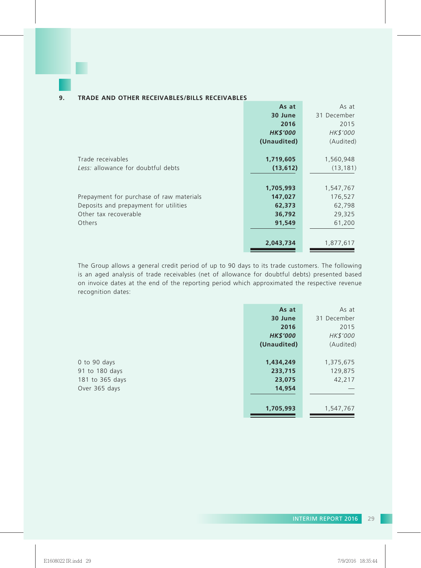## **9. TRADE AND OTHER RECEIVABLES/BILLS RECEIVABLES**

|                                          | As at           | As at       |
|------------------------------------------|-----------------|-------------|
|                                          | 30 June         | 31 December |
|                                          | 2016            | 2015        |
|                                          | <b>HK\$'000</b> | HK\$'000    |
|                                          | (Unaudited)     | (Audited)   |
|                                          |                 |             |
| Trade receivables                        | 1,719,605       | 1,560,948   |
| Less: allowance for doubtful debts       | (13, 612)       | (13, 181)   |
|                                          |                 |             |
|                                          | 1,705,993       | 1,547,767   |
| Prepayment for purchase of raw materials | 147,027         | 176,527     |
| Deposits and prepayment for utilities    | 62,373          | 62,798      |
| Other tax recoverable                    | 36,792          | 29,325      |
| Others                                   | 91,549          | 61,200      |
|                                          |                 |             |
|                                          | 2,043,734       | 1,877,617   |

The Group allows a general credit period of up to 90 days to its trade customers. The following is an aged analysis of trade receivables (net of allowance for doubtful debts) presented based on invoice dates at the end of the reporting period which approximated the respective revenue recognition dates:

|                 | As at           | As at       |
|-----------------|-----------------|-------------|
|                 | 30 June         | 31 December |
|                 | 2016            | 2015        |
|                 | <b>HK\$'000</b> | HK\$'000    |
|                 | (Unaudited)     | (Audited)   |
|                 |                 |             |
| 0 to 90 days    | 1,434,249       | 1,375,675   |
| 91 to 180 days  | 233,715         | 129,875     |
| 181 to 365 days | 23,075          | 42,217      |
| Over 365 days   | 14,954          |             |
|                 |                 |             |
|                 | 1,705,993       | 1,547,767   |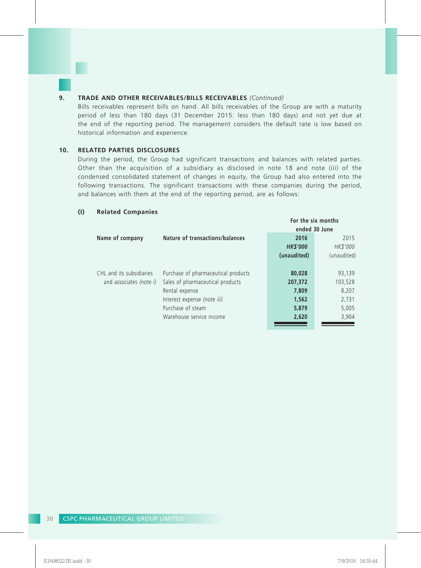#### **9. TRADE AND OTHER RECEIVABLES/BILLS RECEIVABLES** *(Continued)*

Bills receivables represent bills on hand. All bills receivables of the Group are with a maturity period of less than 180 days (31 December 2015: less than 180 days) and not yet due at the end of the reporting period. The management considers the default rate is low based on historical information and experience.

#### **10. RELATED PARTIES DISCLOSURES**

During the period, the Group had significant transactions and balances with related parties. Other than the acquisition of a subsidiary as disclosed in note 18 and note (iii) of the condensed consolidated statement of changes in equity, the Group had also entered into the following transactions. The significant transactions with these companies during the period, and balances with them at the end of the reporting period, are as follows:

|                          |                                     |                 | For the six months |
|--------------------------|-------------------------------------|-----------------|--------------------|
|                          |                                     |                 | ended 30 June      |
| Name of company          | Nature of transactions/balances     | 2016            | 2015               |
|                          |                                     | <b>HK\$'000</b> | HK\$'000           |
|                          |                                     | (unaudited)     | (unaudited)        |
|                          |                                     |                 |                    |
| CHL and its subsidiaries | Purchase of pharmaceutical products | 80,028          | 93,139             |
| and associates (note i)  | Sales of pharmaceutical products    | 207,372         | 103,528            |
|                          | Rental expense                      | 7,809           | 8,207              |
|                          | Interest expense (note iii)         | 1,562           | 2,731              |
|                          | Purchase of steam                   | 5,879           | 5,005              |
|                          | Warehouse service income            | 2,620           | 3,904              |
|                          |                                     |                 |                    |

#### **(I) Related Companies**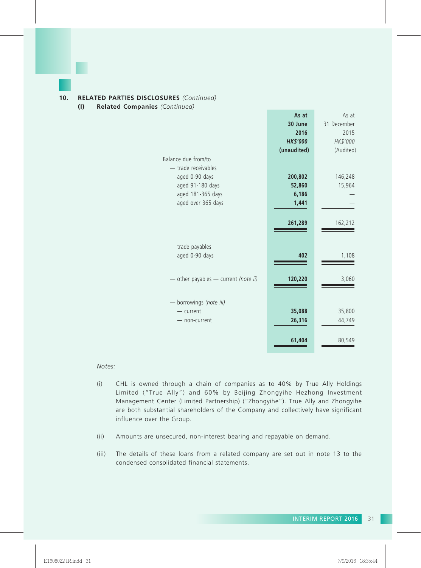

#### **10. RELATED PARTIES DISCLOSURES** *(Continued)*

**(I) Related Companies** *(Continued)*

|                                      | As at           | As at       |
|--------------------------------------|-----------------|-------------|
|                                      | 30 June         | 31 December |
|                                      | 2016            | 2015        |
|                                      | <b>HK\$'000</b> | HK\$'000    |
|                                      | (unaudited)     | (Audited)   |
| Balance due from/to                  |                 |             |
| - trade receivables                  |                 |             |
| aged 0-90 days                       | 200,802         | 146,248     |
| aged 91-180 days                     | 52,860          | 15,964      |
| aged 181-365 days                    | 6,186           |             |
| aged over 365 days                   | 1,441           |             |
|                                      |                 |             |
|                                      | 261,289         | 162,212     |
|                                      |                 |             |
|                                      |                 |             |
| - trade payables                     |                 |             |
| aged 0-90 days                       | 402             | 1,108       |
|                                      |                 |             |
|                                      |                 |             |
| - other payables - current (note ii) | 120,220         | 3,060       |
|                                      |                 |             |
| borrowings (note iii)                |                 |             |
| $-$ current                          | 35,088          | 35,800      |
|                                      |                 |             |
| - non-current                        | 26,316          | 44,749      |
|                                      |                 |             |
|                                      | 61,404          | 80,549      |
|                                      |                 |             |

*Notes:*

- (i) CHL is owned through a chain of companies as to 40% by True Ally Holdings Limited ("True Ally") and 60% by Beijing Zhongyihe Hezhong Investment Management Center (Limited Partnership) ("Zhongyihe"). True Ally and Zhongyihe are both substantial shareholders of the Company and collectively have significant influence over the Group.
- (ii) Amounts are unsecured, non-interest bearing and repayable on demand.
- (iii) The details of these loans from a related company are set out in note 13 to the condensed consolidated financial statements.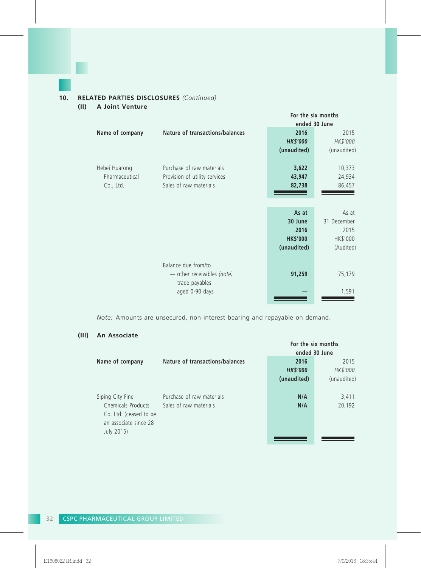## **10. RELATED PARTIES DISCLOSURES** *(Continued)*

**(II) A Joint Venture**

|                 |                                 |                 | For the six months |
|-----------------|---------------------------------|-----------------|--------------------|
|                 |                                 |                 | ended 30 June      |
| Name of company | Nature of transactions/balances | 2016            | 2015               |
|                 |                                 | <b>HK\$'000</b> | HK\$'000           |
|                 |                                 | (unaudited)     | (unaudited)        |
| Hebei Huarong   | Purchase of raw materials       | 3,622           | 10,373             |
| Pharmaceutical  | Provision of utility services   | 43,947          | 24,934             |
| Co., Ltd.       | Sales of raw materials          | 82,738          | 86,457             |
|                 |                                 |                 |                    |
|                 |                                 |                 |                    |
|                 |                                 | As at           | As at              |
|                 |                                 | 30 June         | 31 December        |
|                 |                                 | 2016            | 2015               |
|                 |                                 | <b>HK\$'000</b> | HK\$'000           |
|                 |                                 | (unaudited)     | (Audited)          |
|                 |                                 |                 |                    |
|                 | Balance due from/to             |                 |                    |
|                 | - other receivables (note)      | 91,259          | 75,179             |
|                 | - trade payables                |                 |                    |
|                 | aged 0-90 days                  |                 | 1,591              |
|                 |                                 |                 |                    |

*Note:* Amounts are unsecured, non-interest bearing and repayable on demand.

# **(III) An Associate**

|                        |                                 | For the six months |             |
|------------------------|---------------------------------|--------------------|-------------|
|                        |                                 | ended 30 June      |             |
| Name of company        | Nature of transactions/balances | 2016               | 2015        |
|                        |                                 | <b>HK\$'000</b>    | HK\$'000    |
|                        |                                 | (unaudited)        | (unaudited) |
|                        |                                 |                    |             |
| Siping City Fine       | Purchase of raw materials       | N/A                | 3,411       |
| Chemicals Products     | Sales of raw materials          | N/A                | 20,192      |
| Co. Ltd. (ceased to be |                                 |                    |             |
| an associate since 28  |                                 |                    |             |
| July 2015)             |                                 |                    |             |
|                        |                                 |                    |             |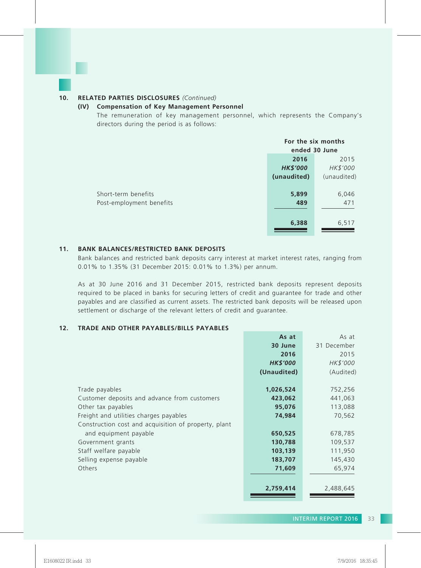#### **10. RELATED PARTIES DISCLOSURES** *(Continued)*

#### **(IV) Compensation of Key Management Personnel**

The remuneration of key management personnel, which represents the Company's directors during the period is as follows:

|                          | For the six months<br>ended 30 June |             |
|--------------------------|-------------------------------------|-------------|
|                          | 2016                                | 2015        |
|                          | <b>HK\$'000</b>                     | HK\$'000    |
|                          | (unaudited)                         | (unaudited) |
|                          |                                     |             |
| Short-term benefits      | 5,899                               | 6,046       |
| Post-employment benefits | 489                                 | 471         |
|                          |                                     |             |
|                          | 6,388                               | 6,517       |

#### **11. BANK BALANCES/RESTRICTED BANK DEPOSITS**

Bank balances and restricted bank deposits carry interest at market interest rates, ranging from 0.01% to 1.35% (31 December 2015: 0.01% to 1.3%) per annum.

As at 30 June 2016 and 31 December 2015, restricted bank deposits represent deposits required to be placed in banks for securing letters of credit and guarantee for trade and other payables and are classified as current assets. The restricted bank deposits will be released upon settlement or discharge of the relevant letters of credit and guarantee.

### **12. TRADE AND OTHER PAYABLES/BILLS PAYABLES**

|                                                      | As at           | As at       |
|------------------------------------------------------|-----------------|-------------|
|                                                      | 30 June         | 31 December |
|                                                      | 2016            | 2015        |
|                                                      | <b>HK\$'000</b> | HK\$'000    |
|                                                      | (Unaudited)     | (Audited)   |
|                                                      |                 |             |
| Trade payables                                       | 1,026,524       | 752,256     |
| Customer deposits and advance from customers         | 423,062         | 441,063     |
| Other tax payables                                   | 95,076          | 113,088     |
| Freight and utilities charges payables               | 74,984          | 70,562      |
| Construction cost and acquisition of property, plant |                 |             |
| and equipment payable                                | 650,525         | 678,785     |
| Government grants                                    | 130,788         | 109,537     |
| Staff welfare payable                                | 103,139         | 111,950     |
| Selling expense payable                              | 183,707         | 145,430     |
| Others                                               | 71,609          | 65,974      |
|                                                      |                 |             |
|                                                      | 2,759,414       | 2,488,645   |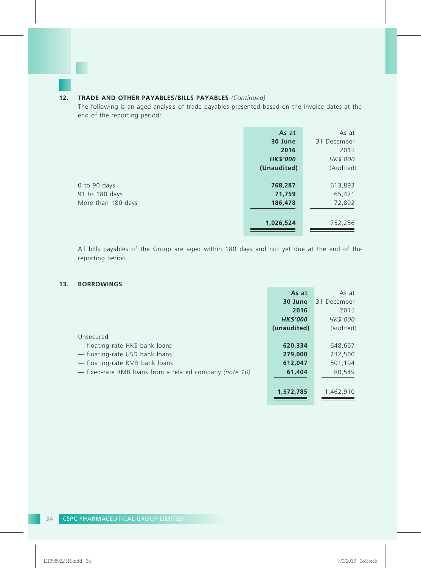# **12. TRADE AND OTHER PAYABLES/BILLS PAYABLES** *(Continued)*

The following is an aged analysis of trade payables presented based on the invoice dates at the end of the reporting period:

|                    | As at           | As at       |
|--------------------|-----------------|-------------|
|                    | 30 June         | 31 December |
|                    | 2016            | 2015        |
|                    | <b>HK\$'000</b> | HK\$'000    |
|                    | (Unaudited)     | (Audited)   |
|                    |                 |             |
| 0 to 90 days       | 768,287         | 613,893     |
| 91 to 180 days     | 71,759          | 65,471      |
| More than 180 days | 186,478         | 72,892      |
|                    |                 |             |
|                    | 1,026,524       | 752,256     |

All bills payables of the Group are aged within 180 days and not yet due at the end of the reporting period.

#### **13. BORROWINGS**

|                                                         | As at           | As at       |
|---------------------------------------------------------|-----------------|-------------|
|                                                         | 30 June         | 31 December |
|                                                         | 2016            | 2015        |
|                                                         | <b>HK\$'000</b> | HK\$'000    |
|                                                         | (unaudited)     | (audited)   |
| Unsecured                                               |                 |             |
| - floating-rate HK\$ bank loans                         | 620,334         | 648,667     |
| - floating-rate USD bank loans                          | 279,000         | 232,500     |
| - floating-rate RMB bank loans                          | 612,047         | 501,194     |
| - fixed-rate RMB loans from a related company (note 10) | 61,404          | 80,549      |
|                                                         |                 |             |
|                                                         | 1,572,785       | 1,462,910   |
|                                                         |                 |             |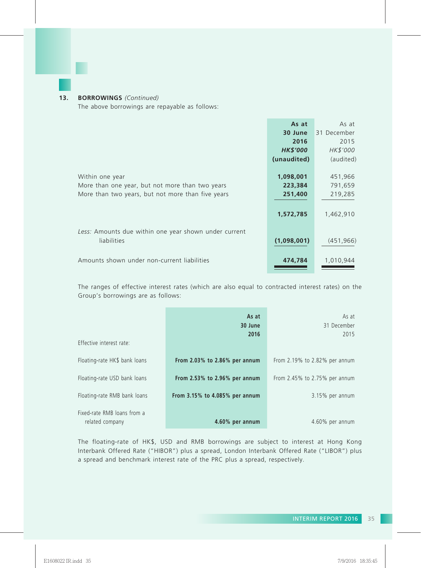## **13. BORROWINGS** *(Continued)*

The above borrowings are repayable as follows:

|                                                       | As at           | As at       |
|-------------------------------------------------------|-----------------|-------------|
|                                                       | 30 June         | 31 December |
|                                                       | 2016            | 2015        |
|                                                       | <b>HK\$'000</b> | HK\$'000    |
|                                                       | (unaudited)     | (audited)   |
|                                                       |                 |             |
| Within one year                                       | 1,098,001       | 451,966     |
| More than one year, but not more than two years       | 223,384         | 791,659     |
| More than two years, but not more than five years     | 251,400         | 219,285     |
|                                                       |                 |             |
|                                                       | 1,572,785       | 1,462,910   |
|                                                       |                 |             |
| Less: Amounts due within one year shown under current |                 |             |
| liabilities                                           | (1,098,001)     | (451, 966)  |
|                                                       |                 |             |
| Amounts shown under non-current liabilities           | 474,784         | 1,010,944   |
|                                                       |                 |             |
|                                                       |                 |             |

The ranges of effective interest rates (which are also equal to contracted interest rates) on the Group's borrowings are as follows:

| Effective interest rate:                       | As at<br>30 June<br>2016            | As at<br>31 December<br>2015        |
|------------------------------------------------|-------------------------------------|-------------------------------------|
| Floating-rate HK\$ bank loans                  | From 2.03% to 2.86% per annum       | From $2.19\%$ to $2.82\%$ per annum |
| Floating-rate USD bank loans                   | From $2.53\%$ to $2.96\%$ per annum | From 2.45% to 2.75% per annum       |
| Floating-rate RMB bank loans                   | From 3.15% to 4.085% per annum      | 3.15% per annum                     |
| Fixed-rate RMB loans from a<br>related company | 4.60% per annum                     | 4.60% per annum                     |

The floating-rate of HK\$, USD and RMB borrowings are subject to interest at Hong Kong Interbank Offered Rate ("HIBOR") plus a spread, London Interbank Offered Rate ("LIBOR") plus a spread and benchmark interest rate of the PRC plus a spread, respectively.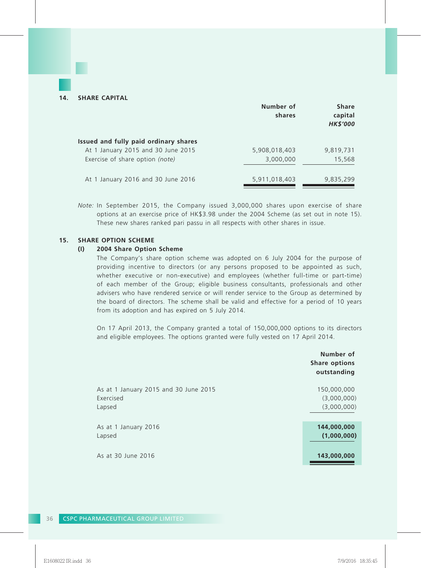|                                       | Number of<br>shares | <b>Share</b><br>capital<br><b>HK\$'000</b> |
|---------------------------------------|---------------------|--------------------------------------------|
| Issued and fully paid ordinary shares |                     |                                            |
| At 1 January 2015 and 30 June 2015    | 5,908,018,403       | 9,819,731                                  |
| Exercise of share option (note)       | 3,000,000           | 15,568                                     |
| At 1 January 2016 and 30 June 2016    | 5,911,018,403       | 9,835,299                                  |

*Note:* In September 2015, the Company issued 3,000,000 shares upon exercise of share options at an exercise price of HK\$3.98 under the 2004 Scheme (as set out in note 15). These new shares ranked pari passu in all respects with other shares in issue.

### **15. SHARE OPTION SCHEME**

#### **(I) 2004 Share Option Scheme**

The Company's share option scheme was adopted on 6 July 2004 for the purpose of providing incentive to directors (or any persons proposed to be appointed as such, whether executive or non-executive) and employees (whether full-time or part-time) of each member of the Group; eligible business consultants, professionals and other advisers who have rendered service or will render service to the Group as determined by the board of directors. The scheme shall be valid and effective for a period of 10 years from its adoption and has expired on 5 July 2014.

On 17 April 2013, the Company granted a total of 150,000,000 options to its directors and eligible employees. The options granted were fully vested on 17 April 2014.

|                                       | Number of<br><b>Share options</b><br>outstanding |
|---------------------------------------|--------------------------------------------------|
| As at 1 January 2015 and 30 June 2015 | 150,000,000                                      |
| Exercised                             | (3,000,000)                                      |
| Lapsed                                | (3,000,000)                                      |
| As at 1 January 2016                  | 144,000,000                                      |
| Lapsed                                | (1,000,000)                                      |
| As at 30 June 2016                    | 143,000,000                                      |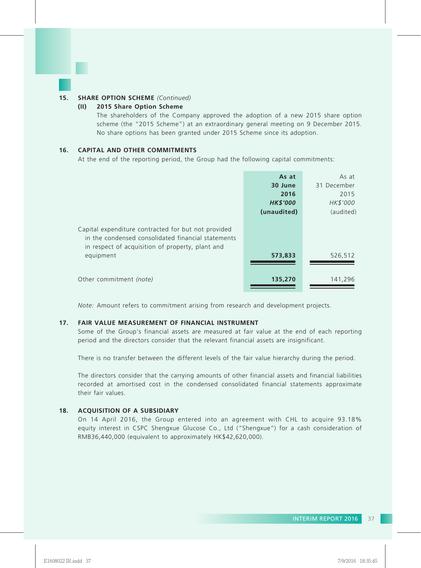#### **15. SHARE OPTION SCHEME** *(Continued)*

#### **(II) 2015 Share Option Scheme**

The shareholders of the Company approved the adoption of a new 2015 share option scheme (the "2015 Scheme") at an extraordinary general meeting on 9 December 2015. No share options has been granted under 2015 Scheme since its adoption.

#### **16. CAPITAL AND OTHER COMMITMENTS**

At the end of the reporting period, the Group had the following capital commitments:

|                                                                                                                                                               | As at           | As at       |
|---------------------------------------------------------------------------------------------------------------------------------------------------------------|-----------------|-------------|
|                                                                                                                                                               | 30 June         | 31 December |
|                                                                                                                                                               | 2016            | 2015        |
|                                                                                                                                                               | <b>HK\$'000</b> | HK\$'000    |
|                                                                                                                                                               | (unaudited)     | (audited)   |
| Capital expenditure contracted for but not provided<br>in the condensed consolidated financial statements<br>in respect of acquisition of property, plant and |                 |             |
| equipment                                                                                                                                                     | 573,833         | 526,512     |
| Other commitment (note)                                                                                                                                       | 135,270         | 141,296     |

*Note:* Amount refers to commitment arising from research and development projects.

#### **17. FAIR VALUE MEASUREMENT OF FINANCIAL INSTRUMENT**

Some of the Group's financial assets are measured at fair value at the end of each reporting period and the directors consider that the relevant financial assets are insignificant.

There is no transfer between the different levels of the fair value hierarchy during the period.

The directors consider that the carrying amounts of other financial assets and financial liabilities recorded at amortised cost in the condensed consolidated financial statements approximate their fair values.

#### **18. ACQUISITION OF A SUBSIDIARY**

On 14 April 2016, the Group entered into an agreement with CHL to acquire 93.18% equity interest in CSPC Shengxue Glucose Co., Ltd ("Shengxue") for a cash consideration of RMB36,440,000 (equivalent to approximately HK\$42,620,000).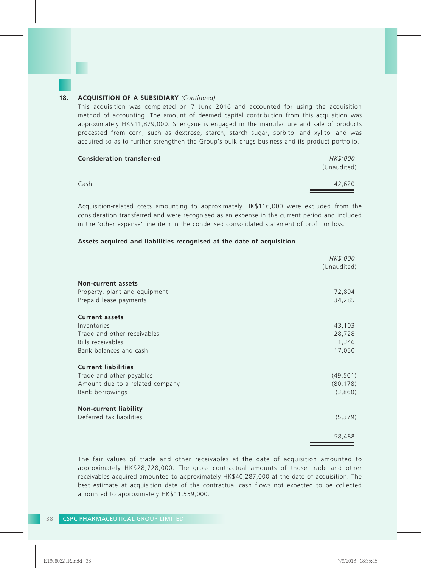#### **18. ACQUISITION OF A SUBSIDIARY** *(Continued)*

This acquisition was completed on 7 June 2016 and accounted for using the acquisition method of accounting. The amount of deemed capital contribution from this acquisition was approximately HK\$11,879,000. Shengxue is engaged in the manufacture and sale of products processed from corn, such as dextrose, starch, starch sugar, sorbitol and xylitol and was acquired so as to further strengthen the Group's bulk drugs business and its product portfolio.

| <b>Consideration transferred</b> | HK\$'000<br>(Unaudited) |
|----------------------------------|-------------------------|
| Cash                             | 42.620                  |

Acquisition-related costs amounting to approximately HK\$116,000 were excluded from the consideration transferred and were recognised as an expense in the current period and included in the 'other expense' line item in the condensed consolidated statement of profit or loss.

#### **Assets acquired and liabilities recognised at the date of acquisition**

|                                 | HK\$'000<br>(Unaudited) |
|---------------------------------|-------------------------|
| Non-current assets              |                         |
| Property, plant and equipment   | 72,894                  |
| Prepaid lease payments          | 34,285                  |
| <b>Current assets</b>           |                         |
| Inventories                     | 43,103                  |
| Trade and other receivables     | 28,728                  |
| <b>Bills receivables</b>        | 1,346                   |
| Bank balances and cash          | 17,050                  |
| <b>Current liabilities</b>      |                         |
| Trade and other payables        | (49, 501)               |
| Amount due to a related company | (80, 178)               |
| Bank borrowings                 | (3,860)                 |
| <b>Non-current liability</b>    |                         |
| Deferred tax liabilities        | (5, 379)                |
|                                 | 58,488                  |

The fair values of trade and other receivables at the date of acquisition amounted to approximately HK\$28,728,000. The gross contractual amounts of those trade and other receivables acquired amounted to approximately HK\$40,287,000 at the date of acquisition. The best estimate at acquisition date of the contractual cash flows not expected to be collected amounted to approximately HK\$11,559,000.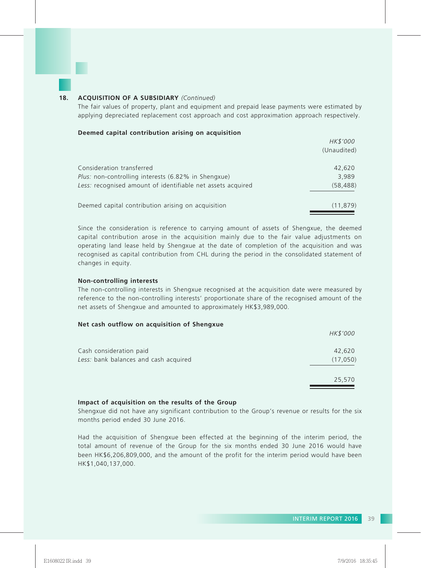

#### **18. ACQUISITION OF A SUBSIDIARY** *(Continued)*

The fair values of property, plant and equipment and prepaid lease payments were estimated by applying depreciated replacement cost approach and cost approximation approach respectively.

#### **Deemed capital contribution arising on acquisition**

|                                                             | HK\$'000    |
|-------------------------------------------------------------|-------------|
|                                                             | (Unaudited) |
|                                                             |             |
| Consideration transferred                                   | 42,620      |
| <i>Plus:</i> non-controlling interests (6.82% in Shengxue)  | 3.989       |
| Less: recognised amount of identifiable net assets acquired | (58, 488)   |
|                                                             |             |
| Deemed capital contribution arising on acquisition          | (11, 879)   |
|                                                             |             |

Since the consideration is reference to carrying amount of assets of Shengxue, the deemed capital contribution arose in the acquisition mainly due to the fair value adjustments on operating land lease held by Shengxue at the date of completion of the acquisition and was recognised as capital contribution from CHL during the period in the consolidated statement of changes in equity.

#### **Non-controlling interests**

The non-controlling interests in Shengxue recognised at the acquisition date were measured by reference to the non-controlling interests' proportionate share of the recognised amount of the net assets of Shengxue and amounted to approximately HK\$3,989,000.

#### **Net cash outflow on acquisition of Shengxue**

|                                       | HK\$'000 |
|---------------------------------------|----------|
| Cash consideration paid               | 42,620   |
| Less: bank balances and cash acquired | (17,050) |
|                                       | 25,570   |

#### **Impact of acquisition on the results of the Group**

Shengxue did not have any significant contribution to the Group's revenue or results for the six months period ended 30 June 2016.

Had the acquisition of Shengxue been effected at the beginning of the interim period, the total amount of revenue of the Group for the six months ended 30 June 2016 would have been HK\$6,206,809,000, and the amount of the profit for the interim period would have been HK\$1,040,137,000.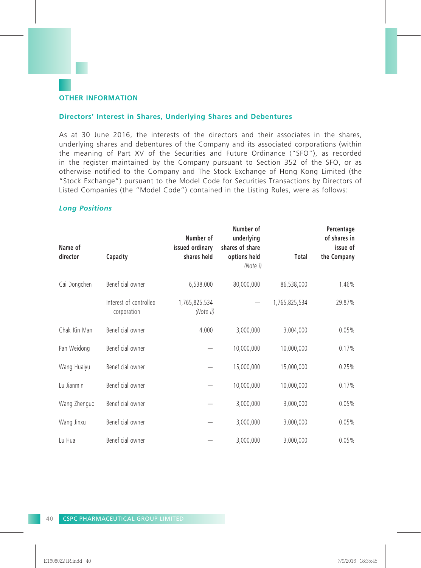# **Directors' Interest in Shares, Underlying Shares and Debentures**

As at 30 June 2016, the interests of the directors and their associates in the shares, underlying shares and debentures of the Company and its associated corporations (within the meaning of Part XV of the Securities and Future Ordinance ("SFO"), as recorded in the register maintained by the Company pursuant to Section 352 of the SFO, or as otherwise notified to the Company and The Stock Exchange of Hong Kong Limited (the "Stock Exchange") pursuant to the Model Code for Securities Transactions by Directors of Listed Companies (the "Model Code") contained in the Listing Rules, were as follows:

# *Long Positions*

| Name of<br>director | Capacity                              | Number of<br>issued ordinary<br>shares held | Number of<br>underlying<br>shares of share<br>options held<br>(Note i) | Total         | Percentage<br>of shares in<br>issue of<br>the Company |
|---------------------|---------------------------------------|---------------------------------------------|------------------------------------------------------------------------|---------------|-------------------------------------------------------|
| Cai Dongchen        | Beneficial owner                      | 6,538,000                                   | 80,000,000                                                             | 86,538,000    | 1.46%                                                 |
|                     | Interest of controlled<br>corporation | 1,765,825,534<br>(Note ii)                  |                                                                        | 1,765,825,534 | 29.87%                                                |
| Chak Kin Man        | Beneficial owner                      | 4,000                                       | 3,000,000                                                              | 3,004,000     | 0.05%                                                 |
| Pan Weidong         | Beneficial owner                      |                                             | 10,000,000                                                             | 10,000,000    | 0.17%                                                 |
| Wang Huaiyu         | Beneficial owner                      |                                             | 15,000,000                                                             | 15,000,000    | 0.25%                                                 |
| Lu Jianmin          | Beneficial owner                      |                                             | 10,000,000                                                             | 10,000,000    | 0.17%                                                 |
| Wang Zhenguo        | Beneficial owner                      |                                             | 3,000,000                                                              | 3,000,000     | 0.05%                                                 |
| Wang Jinxu          | Beneficial owner                      |                                             | 3,000,000                                                              | 3,000,000     | 0.05%                                                 |
| Lu Hua              | Beneficial owner                      |                                             | 3,000,000                                                              | 3,000,000     | 0.05%                                                 |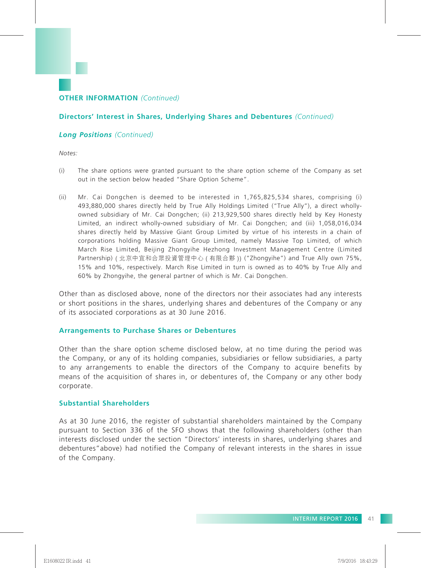# **Directors' Interest in Shares, Underlying Shares and Debentures** *(Continued)*

# *Long Positions (Continued)*

*Notes:*

- (i) The share options were granted pursuant to the share option scheme of the Company as set out in the section below headed "Share Option Scheme".
- (ii) Mr. Cai Dongchen is deemed to be interested in 1,765,825,534 shares, comprising (i) 493,880,000 shares directly held by True Ally Holdings Limited ("True Ally"), a direct whollyowned subsidiary of Mr. Cai Dongchen; (ii) 213,929,500 shares directly held by Key Honesty Limited, an indirect wholly-owned subsidiary of Mr. Cai Dongchen; and (iii) 1,058,016,034 shares directly held by Massive Giant Group Limited by virtue of his interests in a chain of corporations holding Massive Giant Group Limited, namely Massive Top Limited, of which March Rise Limited, Beijing Zhongyihe Hezhong Investment Management Centre (Limited Partnership) ( 北京中宜和合眾投資管理中心 ( 有限合夥 )) ("Zhongyihe") and True Ally own 75%, 15% and 10%, respectively. March Rise Limited in turn is owned as to 40% by True Ally and 60% by Zhongyihe, the general partner of which is Mr. Cai Dongchen.

Other than as disclosed above, none of the directors nor their associates had any interests or short positions in the shares, underlying shares and debentures of the Company or any of its associated corporations as at 30 June 2016.

## **Arrangements to Purchase Shares or Debentures**

Other than the share option scheme disclosed below, at no time during the period was the Company, or any of its holding companies, subsidiaries or fellow subsidiaries, a party to any arrangements to enable the directors of the Company to acquire benefits by means of the acquisition of shares in, or debentures of, the Company or any other body corporate.

# **Substantial Shareholders**

As at 30 June 2016, the register of substantial shareholders maintained by the Company pursuant to Section 336 of the SFO shows that the following shareholders (other than interests disclosed under the section "Directors' interests in shares, underlying shares and debentures"above) had notified the Company of relevant interests in the shares in issue of the Company.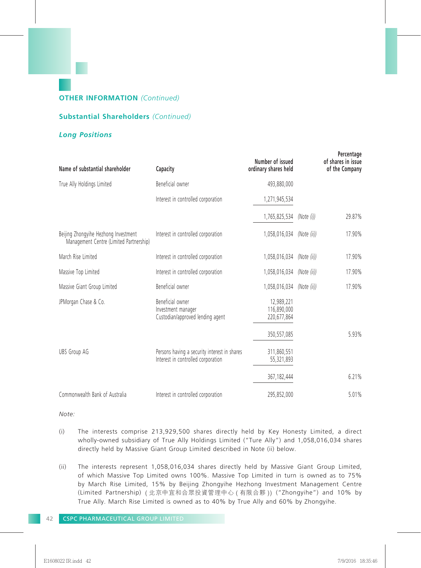# **Substantial Shareholders** *(Continued)*

# *Long Positions*

| Name of substantial shareholder                                                 | Capacity                                                                           | Number of issued<br>ordinary shares held |             | Percentage<br>of shares in issue<br>of the Company |
|---------------------------------------------------------------------------------|------------------------------------------------------------------------------------|------------------------------------------|-------------|----------------------------------------------------|
| True Ally Holdings Limited                                                      | Beneficial owner                                                                   | 493,880,000                              |             |                                                    |
|                                                                                 | Interest in controlled corporation                                                 | 1,271,945,534                            |             |                                                    |
|                                                                                 |                                                                                    | 1,765,825,534                            | (Note (i))  | 29.87%                                             |
| Beijing Zhongyihe Hezhong Investment<br>Management Centre (Limited Partnership) | Interest in controlled corporation                                                 | 1,058,016,034                            | (Note (ii)) | 17.90%                                             |
| March Rise Limited                                                              | Interest in controlled corporation                                                 | 1,058,016,034                            | (Note (ii)) | 17.90%                                             |
| Massive Top Limited                                                             | Interest in controlled corporation                                                 | 1,058,016,034                            | (Note (ii)) | 17.90%                                             |
| Massive Giant Group Limited                                                     | Beneficial owner                                                                   | 1,058,016,034                            | (Note (ii)) | 17.90%                                             |
| JPMorgan Chase & Co.                                                            | Beneficial owner<br>Investment manager<br>Custodian/approved lending agent         | 12,989,221<br>116.890.000<br>220,677,864 |             |                                                    |
|                                                                                 |                                                                                    | 350,557,085                              |             | 5.93%                                              |
| <b>UBS Group AG</b>                                                             | Persons having a security interest in shares<br>Interest in controlled corporation | 311,860,551<br>55,321,893                |             |                                                    |
|                                                                                 |                                                                                    | 367, 182, 444                            |             | 6.21%                                              |
| Commonwealth Bank of Australia                                                  | Interest in controlled corporation                                                 | 295,852,000                              |             | 5.01%                                              |

*Note:*

- (i) The interests comprise 213,929,500 shares directly held by Key Honesty Limited, a direct wholly-owned subsidiary of True Ally Holdings Limited ("Ture Ally") and 1,058,016,034 shares directly held by Massive Giant Group Limited described in Note (ii) below.
- (ii) The interests represent 1,058,016,034 shares directly held by Massive Giant Group Limited, of which Massive Top Limited owns 100%. Massive Top Limited in turn is owned as to 75% by March Rise Limited, 15% by Beijing Zhongyihe Hezhong Investment Management Centre (Limited Partnership) ( 北京中宜和合眾投資管理中心 ( 有限合夥 )) ("Zhongyihe") and 10% by True Ally. March Rise Limited is owned as to 40% by True Ally and 60% by Zhongyihe.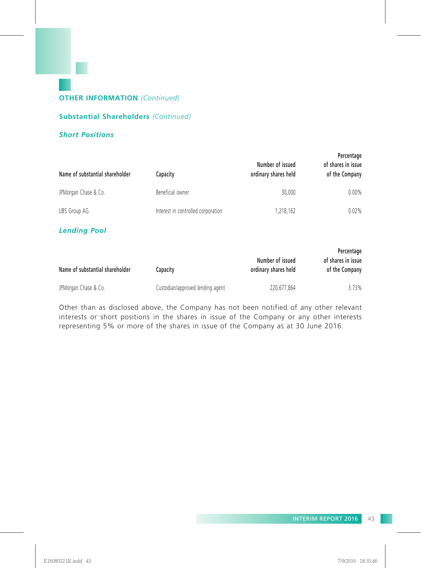# **Substantial Shareholders** *(Continued)*

# *Short Positions*

| Name of substantial shareholder | Capacity                           | Number of issued<br>ordinary shares held | Percentage<br>of shares in issue<br>of the Company |
|---------------------------------|------------------------------------|------------------------------------------|----------------------------------------------------|
| JPMorgan Chase & Co.            | Beneficial owner                   | 30.000                                   | $0.00\%$                                           |
| <b>UBS Group AG</b>             | Interest in controlled corporation | 1,218,162                                | 0.02%                                              |

# *Lending Pool*

| Name of substantial shareholder | Capacitv                         | Number of issued<br>ordinary shares held | Percentage<br>of shares in issue<br>of the Company |  |
|---------------------------------|----------------------------------|------------------------------------------|----------------------------------------------------|--|
| JPMorgan Chase & Co.            | Custodian/approved lending agent | 220.677.864                              | 3.73%                                              |  |

Other than as disclosed above, the Company has not been notified of any other relevant interests or short positions in the shares in issue of the Company or any other interests representing 5% or more of the shares in issue of the Company as at 30 June 2016.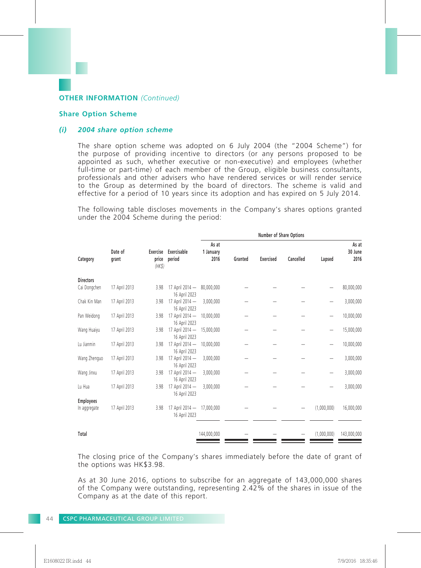#### **Share Option Scheme**

#### *(i) 2004 share option scheme*

The share option scheme was adopted on 6 July 2004 (the "2004 Scheme") for the purpose of providing incentive to directors (or any persons proposed to be appointed as such, whether executive or non-executive) and employees (whether full-time or part-time) of each member of the Group, eligible business consultants, professionals and other advisers who have rendered services or will render service to the Group as determined by the board of directors. The scheme is valid and effective for a period of 10 years since its adoption and has expired on 5 July 2014.

The following table discloses movements in the Company's shares options granted under the 2004 Scheme during the period:

|                  |                |                                  | Number of Share Options    |                            |           |           |             |                          |
|------------------|----------------|----------------------------------|----------------------------|----------------------------|-----------|-----------|-------------|--------------------------|
| Date of<br>grant | price<br>(HKS) | period                           | As at<br>1 January<br>2016 | Granted                    | Exercised | Cancelled | Lapsed      | As at<br>30 June<br>2016 |
|                  |                |                                  |                            |                            |           |           |             |                          |
| 17 April 2013    | 3.98           | 16 April 2023                    |                            |                            |           |           |             | 80,000,000               |
| 17 April 2013    | 3.98           | 17 April 2014 -<br>16 April 2023 | 3,000,000                  |                            |           |           |             | 3,000,000                |
| 17 April 2013    | 3.98           | 17 April 2014 -<br>16 April 2023 | 10,000,000                 |                            |           |           |             | 10,000,000               |
| 17 April 2013    | 3.98           | 17 April 2014 -<br>16 April 2023 | 15,000,000                 |                            |           |           |             | 15,000,000               |
| 17 April 2013    | 3.98           | 17 April 2014 -<br>16 April 2023 | 10,000,000                 |                            |           |           |             | 10,000,000               |
| 17 April 2013    | 3.98           | 17 April 2014 -<br>16 April 2023 | 3,000,000                  |                            |           |           | -           | 3,000,000                |
| 17 April 2013    | 3.98           | 17 April 2014 -<br>16 April 2023 | 3,000,000                  |                            |           |           | -           | 3,000,000                |
| 17 April 2013    | 3.98           | 17 April 2014 -<br>16 April 2023 | 3,000,000                  |                            |           |           |             | 3,000,000                |
|                  |                |                                  |                            |                            |           |           |             |                          |
| 17 April 2013    | 3.98           | 17 April 2014 -<br>16 April 2023 | 17,000,000                 |                            |           |           | (1,000,000) | 16,000,000               |
|                  |                |                                  | 144,000,000                |                            |           |           | (1,000,000) | 143,000,000              |
|                  |                |                                  | Exercise Exercisable       | 17 April 2014 - 80,000,000 |           |           |             |                          |

The closing price of the Company's shares immediately before the date of grant of the options was HK\$3.98.

As at 30 June 2016, options to subscribe for an aggregate of 143,000,000 shares of the Company were outstanding, representing 2.42% of the shares in issue of the Company as at the date of this report.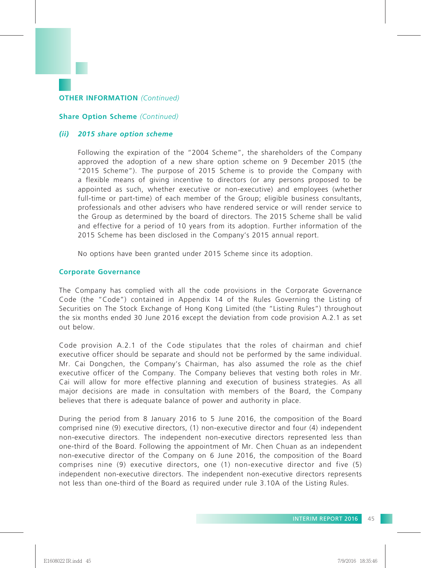#### **Share Option Scheme** *(Continued)*

#### *(ii) 2015 share option scheme*

Following the expiration of the "2004 Scheme", the shareholders of the Company approved the adoption of a new share option scheme on 9 December 2015 (the "2015 Scheme"). The purpose of 2015 Scheme is to provide the Company with a flexible means of giving incentive to directors (or any persons proposed to be appointed as such, whether executive or non-executive) and employees (whether full-time or part-time) of each member of the Group; eligible business consultants, professionals and other advisers who have rendered service or will render service to the Group as determined by the board of directors. The 2015 Scheme shall be valid and effective for a period of 10 years from its adoption. Further information of the 2015 Scheme has been disclosed in the Company's 2015 annual report.

No options have been granted under 2015 Scheme since its adoption.

#### **Corporate Governance**

The Company has complied with all the code provisions in the Corporate Governance Code (the "Code") contained in Appendix 14 of the Rules Governing the Listing of Securities on The Stock Exchange of Hong Kong Limited (the "Listing Rules") throughout the six months ended 30 June 2016 except the deviation from code provision A.2.1 as set out below.

Code provision A.2.1 of the Code stipulates that the roles of chairman and chief executive officer should be separate and should not be performed by the same individual. Mr. Cai Dongchen, the Company's Chairman, has also assumed the role as the chief executive officer of the Company. The Company believes that vesting both roles in Mr. Cai will allow for more effective planning and execution of business strategies. As all major decisions are made in consultation with members of the Board, the Company believes that there is adequate balance of power and authority in place.

During the period from 8 January 2016 to 5 June 2016, the composition of the Board comprised nine (9) executive directors, (1) non-executive director and four (4) independent non-executive directors. The independent non-executive directors represented less than one-third of the Board. Following the appointment of Mr. Chen Chuan as an independent non-executive director of the Company on 6 June 2016, the composition of the Board comprises nine (9) executive directors, one (1) non-executive director and five (5) independent non-executive directors. The independent non-executive directors represents not less than one-third of the Board as required under rule 3.10A of the Listing Rules.